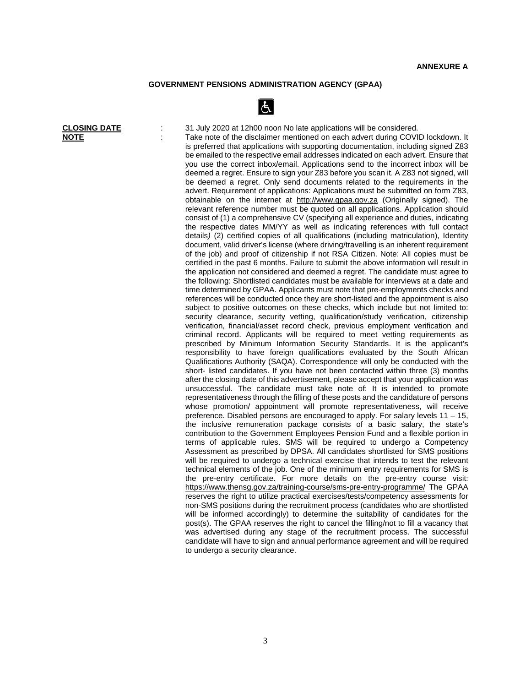## **GOVERNMENT PENSIONS ADMINISTRATION AGENCY (GPAA)**



**CLOSING DATE** : 31 July 2020 at 12h00 noon No late applications will be considered. **NOTE** : Take note of the disclaimer mentioned on each advert during COVID lockdown. It is preferred that applications with supporting documentation, including signed Z83 be emailed to the respective email addresses indicated on each advert. Ensure that you use the correct inbox/email. Applications send to the incorrect inbox will be deemed a regret. Ensure to sign your Z83 before you scan it. A Z83 not signed, will be deemed a regret. Only send documents related to the requirements in the advert. Requirement of applications: Applications must be submitted on form Z83, obtainable on the internet at [http://www.g](http://www./)paa.gov.za (Originally signed). The relevant reference number must be quoted on all applications. Application should consist of (1) a comprehensive CV (specifying all experience and duties, indicating the respective dates MM/YY as well as indicating references with full contact details*)* (2) certified copies of all qualifications (including matriculation), Identity document, valid driver's license (where driving/travelling is an inherent requirement of the job) and proof of citizenship if not RSA Citizen. Note: All copies must be certified in the past 6 months. Failure to submit the above information will result in the application not considered and deemed a regret. The candidate must agree to the following: Shortlisted candidates must be available for interviews at a date and time determined by GPAA. Applicants must note that pre-employments checks and references will be conducted once they are short-listed and the appointment is also subject to positive outcomes on these checks, which include but not limited to: security clearance, security vetting, qualification/study verification, citizenship verification, financial/asset record check, previous employment verification and criminal record. Applicants will be required to meet vetting requirements as prescribed by Minimum Information Security Standards. It is the applicant's responsibility to have foreign qualifications evaluated by the South African Qualifications Authority (SAQA). Correspondence will only be conducted with the short- listed candidates. If you have not been contacted within three (3) months after the closing date of this advertisement, please accept that your application was unsuccessful. The candidate must take note of: It is intended to promote representativeness through the filling of these posts and the candidature of persons whose promotion/ appointment will promote representativeness, will receive preference. Disabled persons are encouraged to apply. For salary levels 11 – 15, the inclusive remuneration package consists of a basic salary, the state's contribution to the Government Employees Pension Fund and a flexible portion in terms of applicable rules. SMS will be required to undergo a Competency Assessment as prescribed by DPSA. All candidates shortlisted for SMS positions will be required to undergo a technical exercise that intends to test the relevant technical elements of the job. One of the minimum entry requirements for SMS is the pre-entry certificate. For more details on the pre-entry course visit: <https://www.thensg.gov.za/training-course/sms-pre-entry-programme/> The GPAA reserves the right to utilize practical exercises/tests/competency assessments for non-SMS positions during the recruitment process (candidates who are shortlisted will be informed accordingly) to determine the suitability of candidates for the post(s). The GPAA reserves the right to cancel the filling/not to fill a vacancy that was advertised during any stage of the recruitment process. The successful candidate will have to sign and annual performance agreement and will be required to undergo a security clearance.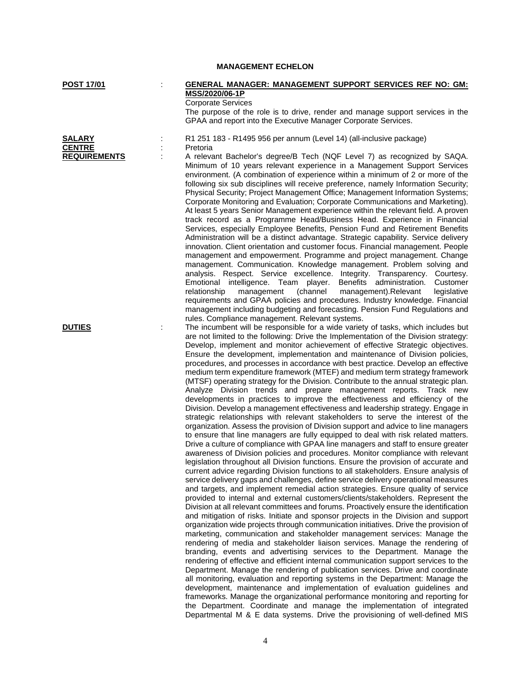| <b>POST 17/01</b>                                     | <b>GENERAL MANAGER: MANAGEMENT SUPPORT SERVICES REF NO: GM:</b><br>MSS/2020/06-1P                                                                                                                                                                                                                                                                                                                                                                                                                                                                                                                                                                                                                                                                                                                                                                                                                                                                                                                                                                                                                                                                                                                                                                                                                                                                                                                                                                                                                                                                                                                                                                                                                                                                                                                                                                                                                                                                                                                                                                                                                                                                                                                                                                                                                                                                                                                                                                                                                                                                                                                                                                                                                                                                                                                                               |
|-------------------------------------------------------|---------------------------------------------------------------------------------------------------------------------------------------------------------------------------------------------------------------------------------------------------------------------------------------------------------------------------------------------------------------------------------------------------------------------------------------------------------------------------------------------------------------------------------------------------------------------------------------------------------------------------------------------------------------------------------------------------------------------------------------------------------------------------------------------------------------------------------------------------------------------------------------------------------------------------------------------------------------------------------------------------------------------------------------------------------------------------------------------------------------------------------------------------------------------------------------------------------------------------------------------------------------------------------------------------------------------------------------------------------------------------------------------------------------------------------------------------------------------------------------------------------------------------------------------------------------------------------------------------------------------------------------------------------------------------------------------------------------------------------------------------------------------------------------------------------------------------------------------------------------------------------------------------------------------------------------------------------------------------------------------------------------------------------------------------------------------------------------------------------------------------------------------------------------------------------------------------------------------------------------------------------------------------------------------------------------------------------------------------------------------------------------------------------------------------------------------------------------------------------------------------------------------------------------------------------------------------------------------------------------------------------------------------------------------------------------------------------------------------------------------------------------------------------------------------------------------------------|
|                                                       | <b>Corporate Services</b><br>The purpose of the role is to drive, render and manage support services in the<br>GPAA and report into the Executive Manager Corporate Services.                                                                                                                                                                                                                                                                                                                                                                                                                                                                                                                                                                                                                                                                                                                                                                                                                                                                                                                                                                                                                                                                                                                                                                                                                                                                                                                                                                                                                                                                                                                                                                                                                                                                                                                                                                                                                                                                                                                                                                                                                                                                                                                                                                                                                                                                                                                                                                                                                                                                                                                                                                                                                                                   |
| <b>SALARY</b><br><b>CENTRE</b><br><b>REQUIREMENTS</b> | R1 251 183 - R1495 956 per annum (Level 14) (all-inclusive package)<br>Pretoria<br>A relevant Bachelor's degree/B Tech (NQF Level 7) as recognized by SAQA.<br>Minimum of 10 years relevant experience in a Management Support Services<br>environment. (A combination of experience within a minimum of 2 or more of the<br>following six sub disciplines will receive preference, namely Information Security;<br>Physical Security; Project Management Office; Management Information Systems;<br>Corporate Monitoring and Evaluation; Corporate Communications and Marketing).<br>At least 5 years Senior Management experience within the relevant field. A proven<br>track record as a Programme Head/Business Head. Experience in Financial<br>Services, especially Employee Benefits, Pension Fund and Retirement Benefits<br>Administration will be a distinct advantage. Strategic capability. Service delivery<br>innovation. Client orientation and customer focus. Financial management. People<br>management and empowerment. Programme and project management. Change<br>management. Communication. Knowledge management. Problem solving and<br>analysis. Respect. Service excellence. Integrity. Transparency. Courtesy.                                                                                                                                                                                                                                                                                                                                                                                                                                                                                                                                                                                                                                                                                                                                                                                                                                                                                                                                                                                                                                                                                                                                                                                                                                                                                                                                                                                                                                                                                                                                                                                       |
|                                                       | Emotional intelligence.<br>player.<br>Benefits administration.<br>Customer<br>Team<br>(channel<br>relationship<br>management<br>management).Relevant<br>legislative<br>requirements and GPAA policies and procedures. Industry knowledge. Financial<br>management including budgeting and forecasting. Pension Fund Regulations and<br>rules. Compliance management. Relevant systems.                                                                                                                                                                                                                                                                                                                                                                                                                                                                                                                                                                                                                                                                                                                                                                                                                                                                                                                                                                                                                                                                                                                                                                                                                                                                                                                                                                                                                                                                                                                                                                                                                                                                                                                                                                                                                                                                                                                                                                                                                                                                                                                                                                                                                                                                                                                                                                                                                                          |
| <b>DUTIES</b>                                         | The incumbent will be responsible for a wide variety of tasks, which includes but<br>are not limited to the following: Drive the Implementation of the Division strategy:<br>Develop, implement and monitor achievement of effective Strategic objectives.<br>Ensure the development, implementation and maintenance of Division policies,<br>procedures, and processes in accordance with best practice. Develop an effective<br>medium term expenditure framework (MTEF) and medium term strategy framework<br>(MTSF) operating strategy for the Division. Contribute to the annual strategic plan.<br>Analyze Division trends and prepare management reports. Track new<br>developments in practices to improve the effectiveness and efficiency of the<br>Division. Develop a management effectiveness and leadership strategy. Engage in<br>strategic relationships with relevant stakeholders to serve the interest of the<br>organization. Assess the provision of Division support and advice to line managers<br>to ensure that line managers are fully equipped to deal with risk related matters.<br>Drive a culture of compliance with GPAA line managers and staff to ensure greater<br>awareness of Division policies and procedures. Monitor compliance with relevant<br>legislation throughout all Division functions. Ensure the provision of accurate and<br>current advice regarding Division functions to all stakeholders. Ensure analysis of<br>service delivery gaps and challenges, define service delivery operational measures<br>and targets, and implement remedial action strategies. Ensure quality of service<br>provided to internal and external customers/clients/stakeholders. Represent the<br>Division at all relevant committees and forums. Proactively ensure the identification<br>and mitigation of risks. Initiate and sponsor projects in the Division and support<br>organization wide projects through communication initiatives. Drive the provision of<br>marketing, communication and stakeholder management services: Manage the<br>rendering of media and stakeholder liaison services. Manage the rendering of<br>branding, events and advertising services to the Department. Manage the<br>rendering of effective and efficient internal communication support services to the<br>Department. Manage the rendering of publication services. Drive and coordinate<br>all monitoring, evaluation and reporting systems in the Department: Manage the<br>development, maintenance and implementation of evaluation guidelines and<br>frameworks. Manage the organizational performance monitoring and reporting for<br>the Department. Coordinate and manage the implementation of integrated<br>Departmental M & E data systems. Drive the provisioning of well-defined MIS |

**MANAGEMENT ECHELON**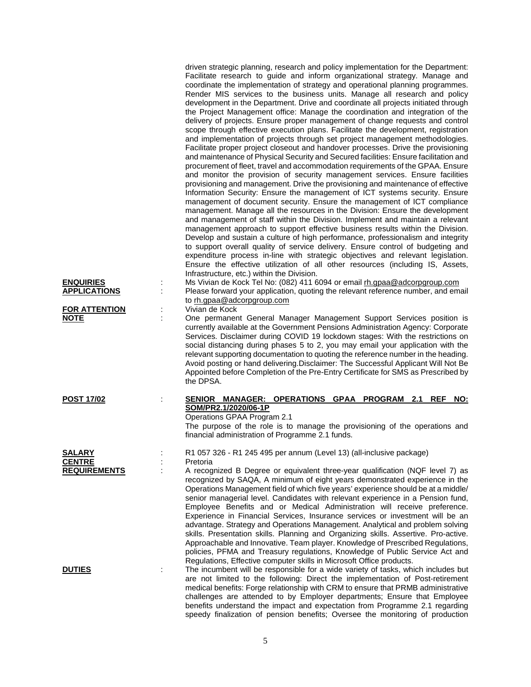| <b>ENQUIRIES</b><br><b>APPLICATIONS</b><br><b>FOR ATTENTION</b><br><b>NOTE</b> | driven strategic planning, research and policy implementation for the Department:<br>Facilitate research to guide and inform organizational strategy. Manage and<br>coordinate the implementation of strategy and operational planning programmes.<br>Render MIS services to the business units. Manage all research and policy<br>development in the Department. Drive and coordinate all projects initiated through<br>the Project Management office: Manage the coordination and integration of the<br>delivery of projects. Ensure proper management of change requests and control<br>scope through effective execution plans. Facilitate the development, registration<br>and implementation of projects through set project management methodologies.<br>Facilitate proper project closeout and handover processes. Drive the provisioning<br>and maintenance of Physical Security and Secured facilities: Ensure facilitation and<br>procurement of fleet, travel and accommodation requirements of the GPAA. Ensure<br>and monitor the provision of security management services. Ensure facilities<br>provisioning and management. Drive the provisioning and maintenance of effective<br>Information Security: Ensure the management of ICT systems security. Ensure<br>management of document security. Ensure the management of ICT compliance<br>management. Manage all the resources in the Division: Ensure the development<br>and management of staff within the Division. Implement and maintain a relevant<br>management approach to support effective business results within the Division.<br>Develop and sustain a culture of high performance, professionalism and integrity<br>to support overall quality of service delivery. Ensure control of budgeting and<br>expenditure process in-line with strategic objectives and relevant legislation.<br>Ensure the effective utilization of all other resources (including IS, Assets,<br>Infrastructure, etc.) within the Division.<br>Ms Vivian de Kock Tel No: (082) 411 6094 or email rh.gpaa@adcorpgroup.com<br>Please forward your application, quoting the relevant reference number, and email<br>to rh.gpaa@adcorpgroup.com<br>Vivian de Kock<br>One permanent General Manager Management Support Services position is<br>currently available at the Government Pensions Administration Agency: Corporate<br>Services. Disclaimer during COVID 19 lockdown stages: With the restrictions on<br>social distancing during phases 5 to 2, you may email your application with the<br>relevant supporting documentation to quoting the reference number in the heading.<br>Avoid posting or hand delivering. Disclaimer: The Successful Applicant Will Not Be<br>Appointed before Completion of the Pre-Entry Certificate for SMS as Prescribed by<br>the DPSA. |
|--------------------------------------------------------------------------------|-------------------------------------------------------------------------------------------------------------------------------------------------------------------------------------------------------------------------------------------------------------------------------------------------------------------------------------------------------------------------------------------------------------------------------------------------------------------------------------------------------------------------------------------------------------------------------------------------------------------------------------------------------------------------------------------------------------------------------------------------------------------------------------------------------------------------------------------------------------------------------------------------------------------------------------------------------------------------------------------------------------------------------------------------------------------------------------------------------------------------------------------------------------------------------------------------------------------------------------------------------------------------------------------------------------------------------------------------------------------------------------------------------------------------------------------------------------------------------------------------------------------------------------------------------------------------------------------------------------------------------------------------------------------------------------------------------------------------------------------------------------------------------------------------------------------------------------------------------------------------------------------------------------------------------------------------------------------------------------------------------------------------------------------------------------------------------------------------------------------------------------------------------------------------------------------------------------------------------------------------------------------------------------------------------------------------------------------------------------------------------------------------------------------------------------------------------------------------------------------------------------------------------------------------------------------------------------------------------------------------------------------------------------------------------------------------------------------------------------------------------------------------------------------------------------------------------------------|
| <b>POST 17/02</b>                                                              | SENIOR MANAGER: OPERATIONS GPAA PROGRAM 2.1 REF<br>NO:<br>SOM/PR2.1/2020/06-1P<br>Operations GPAA Program 2.1<br>The purpose of the role is to manage the provisioning of the operations and<br>financial administration of Programme 2.1 funds.                                                                                                                                                                                                                                                                                                                                                                                                                                                                                                                                                                                                                                                                                                                                                                                                                                                                                                                                                                                                                                                                                                                                                                                                                                                                                                                                                                                                                                                                                                                                                                                                                                                                                                                                                                                                                                                                                                                                                                                                                                                                                                                                                                                                                                                                                                                                                                                                                                                                                                                                                                                          |
| <b>SALARY</b><br><b>CENTRE</b><br><b>REQUIREMENTS</b>                          | R1 057 326 - R1 245 495 per annum (Level 13) (all-inclusive package)<br>Pretoria<br>A recognized B Degree or equivalent three-year qualification (NQF level 7) as<br>recognized by SAQA, A minimum of eight years demonstrated experience in the<br>Operations Management field of which five years' experience should be at a middle/<br>senior managerial level. Candidates with relevant experience in a Pension fund,<br>Employee Benefits and or Medical Administration will receive preference.<br>Experience in Financial Services, Insurance services or investment will be an<br>advantage. Strategy and Operations Management. Analytical and problem solving                                                                                                                                                                                                                                                                                                                                                                                                                                                                                                                                                                                                                                                                                                                                                                                                                                                                                                                                                                                                                                                                                                                                                                                                                                                                                                                                                                                                                                                                                                                                                                                                                                                                                                                                                                                                                                                                                                                                                                                                                                                                                                                                                                   |
| <b>DUTIES</b>                                                                  | skills. Presentation skills. Planning and Organizing skills. Assertive. Pro-active.<br>Approachable and Innovative. Team player. Knowledge of Prescribed Regulations,<br>policies, PFMA and Treasury regulations, Knowledge of Public Service Act and<br>Regulations, Effective computer skills in Microsoft Office products.<br>The incumbent will be responsible for a wide variety of tasks, which includes but<br>are not limited to the following: Direct the implementation of Post-retirement<br>medical benefits: Forge relationship with CRM to ensure that PRMB administrative<br>challenges are attended to by Employer departments; Ensure that Employee<br>benefits understand the impact and expectation from Programme 2.1 regarding                                                                                                                                                                                                                                                                                                                                                                                                                                                                                                                                                                                                                                                                                                                                                                                                                                                                                                                                                                                                                                                                                                                                                                                                                                                                                                                                                                                                                                                                                                                                                                                                                                                                                                                                                                                                                                                                                                                                                                                                                                                                                       |

speedy finalization of pension benefits; Oversee the monitoring of production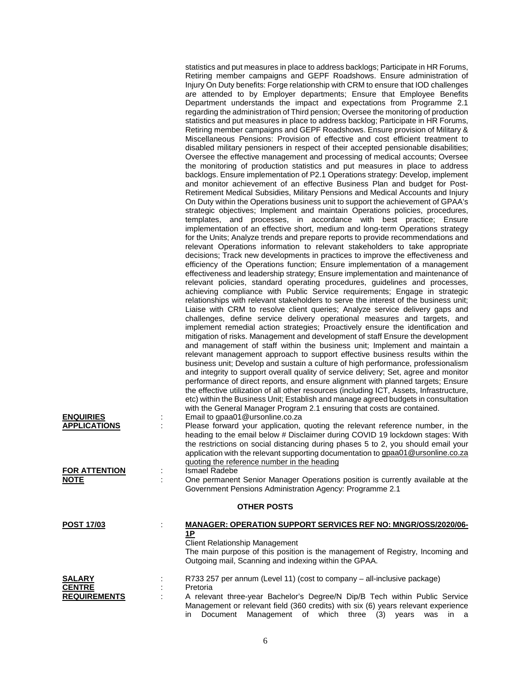| <b>ENQUIRIES</b><br><b>APPLICATIONS</b><br><b>FOR ATTENTION</b><br><b>NOTE</b> | statistics and put measures in place to address backlogs; Participate in HR Forums,<br>Retiring member campaigns and GEPF Roadshows. Ensure administration of<br>Injury On Duty benefits: Forge relationship with CRM to ensure that IOD challenges<br>are attended to by Employer departments; Ensure that Employee Benefits<br>Department understands the impact and expectations from Programme 2.1<br>regarding the administration of Third pension; Oversee the monitoring of production<br>statistics and put measures in place to address backlog; Participate in HR Forums,<br>Retiring member campaigns and GEPF Roadshows. Ensure provision of Military &<br>Miscellaneous Pensions: Provision of effective and cost efficient treatment to<br>disabled military pensioners in respect of their accepted pensionable disabilities;<br>Oversee the effective management and processing of medical accounts; Oversee<br>the monitoring of production statistics and put measures in place to address<br>backlogs. Ensure implementation of P2.1 Operations strategy: Develop, implement<br>and monitor achievement of an effective Business Plan and budget for Post-<br>Retirement Medical Subsidies, Military Pensions and Medical Accounts and Injury<br>On Duty within the Operations business unit to support the achievement of GPAA's<br>strategic objectives; Implement and maintain Operations policies, procedures,<br>templates, and processes, in accordance with best practice; Ensure<br>implementation of an effective short, medium and long-term Operations strategy<br>for the Units; Analyze trends and prepare reports to provide recommendations and<br>relevant Operations information to relevant stakeholders to take appropriate<br>decisions; Track new developments in practices to improve the effectiveness and<br>efficiency of the Operations function; Ensure implementation of a management<br>effectiveness and leadership strategy; Ensure implementation and maintenance of<br>relevant policies, standard operating procedures, guidelines and processes,<br>achieving compliance with Public Service requirements; Engage in strategic<br>relationships with relevant stakeholders to serve the interest of the business unit;<br>Liaise with CRM to resolve client queries; Analyze service delivery gaps and<br>challenges, define service delivery operational measures and targets, and<br>implement remedial action strategies; Proactively ensure the identification and<br>mitigation of risks. Management and development of staff Ensure the development<br>and management of staff within the business unit; Implement and maintain a<br>relevant management approach to support effective business results within the<br>business unit; Develop and sustain a culture of high performance, professionalism<br>and integrity to support overall quality of service delivery; Set, agree and monitor<br>performance of direct reports, and ensure alignment with planned targets; Ensure<br>the effective utilization of all other resources (including ICT, Assets, Infrastructure,<br>etc) within the Business Unit; Establish and manage agreed budgets in consultation<br>with the General Manager Program 2.1 ensuring that costs are contained.<br>Email to gpaa01@ursonline.co.za<br>Please forward your application, quoting the relevant reference number, in the<br>÷<br>heading to the email below # Disclaimer during COVID 19 lockdown stages: With<br>the restrictions on social distancing during phases 5 to 2, you should email your<br>application with the relevant supporting documentation to gpaa01@ursonline.co.za<br>quoting the reference number in the heading<br><b>Ismael Radebe</b><br>One permanent Senior Manager Operations position is currently available at the<br>Government Pensions Administration Agency: Programme 2.1 |
|--------------------------------------------------------------------------------|-----------------------------------------------------------------------------------------------------------------------------------------------------------------------------------------------------------------------------------------------------------------------------------------------------------------------------------------------------------------------------------------------------------------------------------------------------------------------------------------------------------------------------------------------------------------------------------------------------------------------------------------------------------------------------------------------------------------------------------------------------------------------------------------------------------------------------------------------------------------------------------------------------------------------------------------------------------------------------------------------------------------------------------------------------------------------------------------------------------------------------------------------------------------------------------------------------------------------------------------------------------------------------------------------------------------------------------------------------------------------------------------------------------------------------------------------------------------------------------------------------------------------------------------------------------------------------------------------------------------------------------------------------------------------------------------------------------------------------------------------------------------------------------------------------------------------------------------------------------------------------------------------------------------------------------------------------------------------------------------------------------------------------------------------------------------------------------------------------------------------------------------------------------------------------------------------------------------------------------------------------------------------------------------------------------------------------------------------------------------------------------------------------------------------------------------------------------------------------------------------------------------------------------------------------------------------------------------------------------------------------------------------------------------------------------------------------------------------------------------------------------------------------------------------------------------------------------------------------------------------------------------------------------------------------------------------------------------------------------------------------------------------------------------------------------------------------------------------------------------------------------------------------------------------------------------------------------------------------------------------------------------------------------------------------------------------------------------------------------------------------------------------------------------------------------------------------------------------------------------------------------------------------------------------------------------------------------------------------------------------------------------------------------------------------------------------------------------------------------------------------------------------------------------------------------------------------------------------------------------------------------------------------------------------|
|                                                                                | <b>OTHER POSTS</b>                                                                                                                                                                                                                                                                                                                                                                                                                                                                                                                                                                                                                                                                                                                                                                                                                                                                                                                                                                                                                                                                                                                                                                                                                                                                                                                                                                                                                                                                                                                                                                                                                                                                                                                                                                                                                                                                                                                                                                                                                                                                                                                                                                                                                                                                                                                                                                                                                                                                                                                                                                                                                                                                                                                                                                                                                                                                                                                                                                                                                                                                                                                                                                                                                                                                                                                                                                                                                                                                                                                                                                                                                                                                                                                                                                                                                                                                                                    |
| <u>POST 17/03</u>                                                              | <b>MANAGER: OPERATION SUPPORT SERVICES REF NO: MNGR/OSS/2020/06-</b><br><u>1P</u><br><b>Client Relationship Management</b><br>The main purpose of this position is the management of Registry, Incoming and<br>Outgoing mail, Scanning and indexing within the GPAA.                                                                                                                                                                                                                                                                                                                                                                                                                                                                                                                                                                                                                                                                                                                                                                                                                                                                                                                                                                                                                                                                                                                                                                                                                                                                                                                                                                                                                                                                                                                                                                                                                                                                                                                                                                                                                                                                                                                                                                                                                                                                                                                                                                                                                                                                                                                                                                                                                                                                                                                                                                                                                                                                                                                                                                                                                                                                                                                                                                                                                                                                                                                                                                                                                                                                                                                                                                                                                                                                                                                                                                                                                                                  |
| <b>SALARY</b><br><b>CENTRE</b><br><b>REQUIREMENTS</b>                          | R733 257 per annum (Level 11) (cost to company - all-inclusive package)<br>Pretoria<br>A relevant three-year Bachelor's Degree/N Dip/B Tech within Public Service<br>Management or relevant field (360 credits) with six (6) years relevant experience<br>Management of which three (3) years<br>Document<br>in.<br>was<br>in a                                                                                                                                                                                                                                                                                                                                                                                                                                                                                                                                                                                                                                                                                                                                                                                                                                                                                                                                                                                                                                                                                                                                                                                                                                                                                                                                                                                                                                                                                                                                                                                                                                                                                                                                                                                                                                                                                                                                                                                                                                                                                                                                                                                                                                                                                                                                                                                                                                                                                                                                                                                                                                                                                                                                                                                                                                                                                                                                                                                                                                                                                                                                                                                                                                                                                                                                                                                                                                                                                                                                                                                       |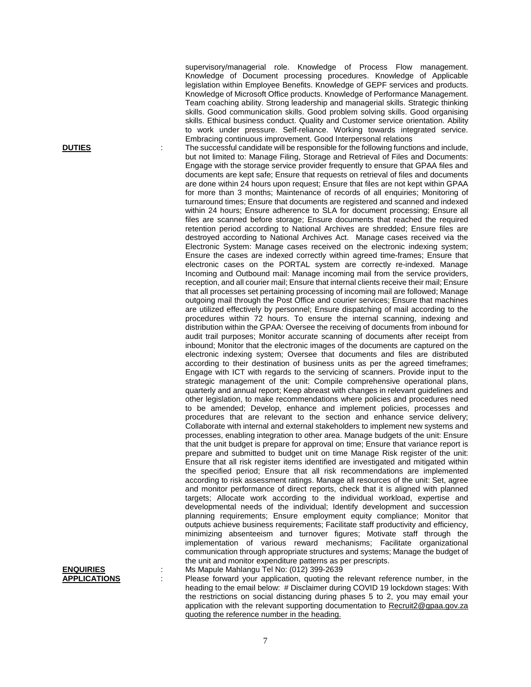supervisory/managerial role. Knowledge of Process Flow management. Knowledge of Document processing procedures. Knowledge of Applicable legislation within Employee Benefits. Knowledge of GEPF services and products. Knowledge of Microsoft Office products. Knowledge of Performance Management. Team coaching ability. Strong leadership and managerial skills. Strategic thinking skills. Good communication skills. Good problem solving skills. Good organising skills. Ethical business conduct. Quality and Customer service orientation. Ability to work under pressure. Self-reliance. Working towards integrated service. Embracing continuous improvement. Good Interpersonal relations

**DUTIES** : The successful candidate will be responsible for the following functions and include, but not limited to: Manage Filing, Storage and Retrieval of Files and Documents: Engage with the storage service provider frequently to ensure that GPAA files and documents are kept safe; Ensure that requests on retrieval of files and documents are done within 24 hours upon request; Ensure that files are not kept within GPAA for more than 3 months; Maintenance of records of all enquiries; Monitoring of turnaround times; Ensure that documents are registered and scanned and indexed within 24 hours; Ensure adherence to SLA for document processing; Ensure all files are scanned before storage; Ensure documents that reached the required retention period according to National Archives are shredded; Ensure files are destroyed according to National Archives Act. Manage cases received via the Electronic System: Manage cases received on the electronic indexing system; Ensure the cases are indexed correctly within agreed time-frames; Ensure that electronic cases on the PORTAL system are correctly re-indexed. Manage Incoming and Outbound mail: Manage incoming mail from the service providers, reception, and all courier mail; Ensure that internal clients receive their mail; Ensure that all processes set pertaining processing of incoming mail are followed; Manage outgoing mail through the Post Office and courier services; Ensure that machines are utilized effectively by personnel; Ensure dispatching of mail according to the procedures within 72 hours. To ensure the internal scanning, indexing and distribution within the GPAA: Oversee the receiving of documents from inbound for audit trail purposes; Monitor accurate scanning of documents after receipt from inbound; Monitor that the electronic images of the documents are captured on the electronic indexing system; Oversee that documents and files are distributed according to their destination of business units as per the agreed timeframes; Engage with ICT with regards to the servicing of scanners. Provide input to the strategic management of the unit: Compile comprehensive operational plans, quarterly and annual report; Keep abreast with changes in relevant guidelines and other legislation, to make recommendations where policies and procedures need to be amended; Develop, enhance and implement policies, processes and procedures that are relevant to the section and enhance service delivery; Collaborate with internal and external stakeholders to implement new systems and processes, enabling integration to other area. Manage budgets of the unit: Ensure that the unit budget is prepare for approval on time; Ensure that variance report is prepare and submitted to budget unit on time Manage Risk register of the unit: Ensure that all risk register items identified are investigated and mitigated within the specified period; Ensure that all risk recommendations are implemented according to risk assessment ratings. Manage all resources of the unit: Set, agree and monitor performance of direct reports, check that it is aligned with planned targets; Allocate work according to the individual workload, expertise and developmental needs of the individual; Identify development and succession planning requirements; Ensure employment equity compliance; Monitor that outputs achieve business requirements; Facilitate staff productivity and efficiency, minimizing absenteeism and turnover figures; Motivate staff through the implementation of various reward mechanisms; Facilitate organizational communication through appropriate structures and systems; Manage the budget of the unit and monitor expenditure patterns as per prescripts.

**ENQUIRIES** : Ms Mapule Mahlangu Tel No: (012) 399-2639<br>**APPLICATIONS** : Please forward your application, quoting the : Please forward your application, quoting the relevant reference number, in the heading to the email below: # Disclaimer during COVID 19 lockdown stages: With the restrictions on social distancing during phases 5 to 2, you may email your application with the relevant supporting documentation to [Recruit2@gpaa.gov.za](mailto:Recruit2@gpaa.gov.za) quoting the reference number in the heading.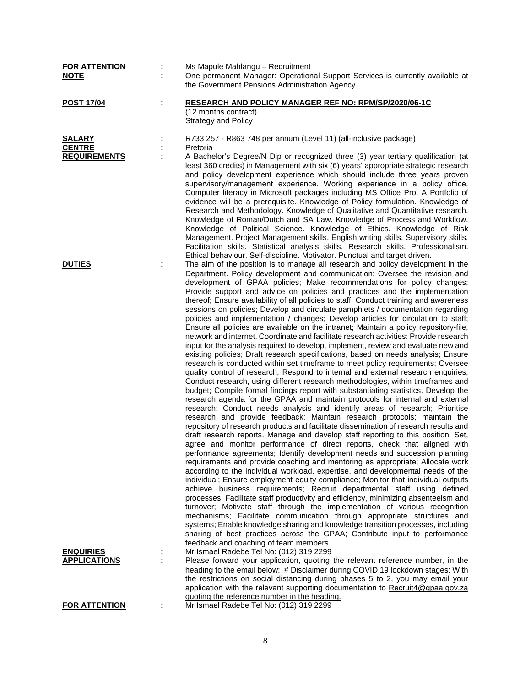| <b>FOR ATTENTION</b>                                  | Ms Mapule Mahlangu - Recruitment                                                                                                                                                                                                                                                                                                                                                                                                                                                                                                                                                                                                                                                                                                                                                                                                                                                                                                                                                                                                                                                                                                                                                                                                                                                                                                                                                                                                                                                                                                                                                                                                                                                                                                                                                                                                                                                                                                                                                                                                                                                                                                                                                                                                                                                                                                                                                                                                                                                                                                                                                                                                                                                       |
|-------------------------------------------------------|----------------------------------------------------------------------------------------------------------------------------------------------------------------------------------------------------------------------------------------------------------------------------------------------------------------------------------------------------------------------------------------------------------------------------------------------------------------------------------------------------------------------------------------------------------------------------------------------------------------------------------------------------------------------------------------------------------------------------------------------------------------------------------------------------------------------------------------------------------------------------------------------------------------------------------------------------------------------------------------------------------------------------------------------------------------------------------------------------------------------------------------------------------------------------------------------------------------------------------------------------------------------------------------------------------------------------------------------------------------------------------------------------------------------------------------------------------------------------------------------------------------------------------------------------------------------------------------------------------------------------------------------------------------------------------------------------------------------------------------------------------------------------------------------------------------------------------------------------------------------------------------------------------------------------------------------------------------------------------------------------------------------------------------------------------------------------------------------------------------------------------------------------------------------------------------------------------------------------------------------------------------------------------------------------------------------------------------------------------------------------------------------------------------------------------------------------------------------------------------------------------------------------------------------------------------------------------------------------------------------------------------------------------------------------------------|
| <b>NOTE</b>                                           | One permanent Manager: Operational Support Services is currently available at<br>the Government Pensions Administration Agency.                                                                                                                                                                                                                                                                                                                                                                                                                                                                                                                                                                                                                                                                                                                                                                                                                                                                                                                                                                                                                                                                                                                                                                                                                                                                                                                                                                                                                                                                                                                                                                                                                                                                                                                                                                                                                                                                                                                                                                                                                                                                                                                                                                                                                                                                                                                                                                                                                                                                                                                                                        |
| <b>POST 17/04</b>                                     | RESEARCH AND POLICY MANAGER REF NO: RPM/SP/2020/06-1C<br>(12 months contract)<br><b>Strategy and Policy</b>                                                                                                                                                                                                                                                                                                                                                                                                                                                                                                                                                                                                                                                                                                                                                                                                                                                                                                                                                                                                                                                                                                                                                                                                                                                                                                                                                                                                                                                                                                                                                                                                                                                                                                                                                                                                                                                                                                                                                                                                                                                                                                                                                                                                                                                                                                                                                                                                                                                                                                                                                                            |
| <b>SALARY</b><br><b>CENTRE</b><br><b>REQUIREMENTS</b> | R733 257 - R863 748 per annum (Level 11) (all-inclusive package)<br>Pretoria<br>A Bachelor's Degree/N Dip or recognized three (3) year tertiary qualification (at<br>least 360 credits) in Management with six (6) years' appropriate strategic research<br>and policy development experience which should include three years proven<br>supervisory/management experience. Working experience in a policy office.<br>Computer literacy in Microsoft packages including MS Office Pro. A Portfolio of<br>evidence will be a prerequisite. Knowledge of Policy formulation. Knowledge of                                                                                                                                                                                                                                                                                                                                                                                                                                                                                                                                                                                                                                                                                                                                                                                                                                                                                                                                                                                                                                                                                                                                                                                                                                                                                                                                                                                                                                                                                                                                                                                                                                                                                                                                                                                                                                                                                                                                                                                                                                                                                                |
|                                                       | Research and Methodology. Knowledge of Qualitative and Quantitative research.<br>Knowledge of Roman/Dutch and SA Law. Knowledge of Process and Workflow.<br>Knowledge of Political Science. Knowledge of Ethics. Knowledge of Risk<br>Management. Project Management skills. English writing skills. Supervisory skills.<br>Facilitation skills. Statistical analysis skills. Research skills. Professionalism.<br>Ethical behaviour. Self-discipline. Motivator. Punctual and target driven.                                                                                                                                                                                                                                                                                                                                                                                                                                                                                                                                                                                                                                                                                                                                                                                                                                                                                                                                                                                                                                                                                                                                                                                                                                                                                                                                                                                                                                                                                                                                                                                                                                                                                                                                                                                                                                                                                                                                                                                                                                                                                                                                                                                          |
| <b>DUTIES</b>                                         | The aim of the position is to manage all research and policy development in the<br>Department. Policy development and communication: Oversee the revision and<br>development of GPAA policies; Make recommendations for policy changes;<br>Provide support and advice on policies and practices and the implementation<br>thereof; Ensure availability of all policies to staff; Conduct training and awareness<br>sessions on policies; Develop and circulate pamphlets / documentation regarding<br>policies and implementation / changes; Develop articles for circulation to staff;<br>Ensure all policies are available on the intranet; Maintain a policy repository-file,<br>network and internet. Coordinate and facilitate research activities: Provide research<br>input for the analysis required to develop, implement, review and evaluate new and<br>existing policies; Draft research specifications, based on needs analysis; Ensure<br>research is conducted within set timeframe to meet policy requirements; Oversee<br>quality control of research; Respond to internal and external research enquiries;<br>Conduct research, using different research methodologies, within timeframes and<br>budget; Compile formal findings report with substantiating statistics. Develop the<br>research agenda for the GPAA and maintain protocols for internal and external<br>research: Conduct needs analysis and identify areas of research; Prioritise<br>research and provide feedback; Maintain research protocols; maintain the<br>repository of research products and facilitate dissemination of research results and<br>draft research reports. Manage and develop staff reporting to this position: Set,<br>agree and monitor performance of direct reports, check that aligned with<br>performance agreements; Identify development needs and succession planning<br>requirements and provide coaching and mentoring as appropriate; Allocate work<br>according to the individual workload, expertise, and developmental needs of the<br>individual; Ensure employment equity compliance; Monitor that individual outputs<br>achieve business requirements; Recruit departmental staff using defined<br>processes; Facilitate staff productivity and efficiency, minimizing absenteeism and<br>turnover; Motivate staff through the implementation of various recognition<br>mechanisms; Facilitate communication through appropriate structures and<br>systems; Enable knowledge sharing and knowledge transition processes, including<br>sharing of best practices across the GPAA; Contribute input to performance<br>feedback and coaching of team members. |
| <b>ENQUIRIES</b><br><b>APPLICATIONS</b>               | Mr Ismael Radebe Tel No: (012) 319 2299<br>Please forward your application, quoting the relevant reference number, in the<br>heading to the email below: # Disclaimer during COVID 19 lockdown stages: With<br>the restrictions on social distancing during phases 5 to 2, you may email your<br>application with the relevant supporting documentation to Recruit4@gpaa.gov.za<br>quoting the reference number in the heading.                                                                                                                                                                                                                                                                                                                                                                                                                                                                                                                                                                                                                                                                                                                                                                                                                                                                                                                                                                                                                                                                                                                                                                                                                                                                                                                                                                                                                                                                                                                                                                                                                                                                                                                                                                                                                                                                                                                                                                                                                                                                                                                                                                                                                                                        |
| <b>FOR ATTENTION</b>                                  | Mr Ismael Radebe Tel No: (012) 319 2299                                                                                                                                                                                                                                                                                                                                                                                                                                                                                                                                                                                                                                                                                                                                                                                                                                                                                                                                                                                                                                                                                                                                                                                                                                                                                                                                                                                                                                                                                                                                                                                                                                                                                                                                                                                                                                                                                                                                                                                                                                                                                                                                                                                                                                                                                                                                                                                                                                                                                                                                                                                                                                                |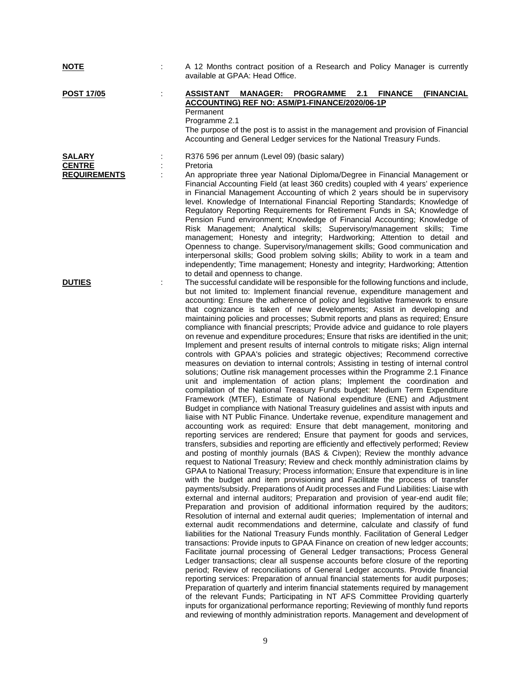| <b>NOTE</b>                    | A 12 Months contract position of a Research and Policy Manager is currently<br>available at GPAA: Head Office.                                                                                                                                                                                                                                                                                                                                                                                                                                                                                                                                                                                                                                                                                                                                                                                                                                                                                                                                                                                                                                                                                                                                                                                                                                                                                                                                                                                                                                                                                                                                                                                                                                                                                                                                                                                                                                                                                                                                                                                                                                                                                                                                                                                                                                                                                                                                                                                                                                                                                                                                                                                                                                                                                                                                                                                                                                                                                                                                                                                                                                                                                                                                                |
|--------------------------------|---------------------------------------------------------------------------------------------------------------------------------------------------------------------------------------------------------------------------------------------------------------------------------------------------------------------------------------------------------------------------------------------------------------------------------------------------------------------------------------------------------------------------------------------------------------------------------------------------------------------------------------------------------------------------------------------------------------------------------------------------------------------------------------------------------------------------------------------------------------------------------------------------------------------------------------------------------------------------------------------------------------------------------------------------------------------------------------------------------------------------------------------------------------------------------------------------------------------------------------------------------------------------------------------------------------------------------------------------------------------------------------------------------------------------------------------------------------------------------------------------------------------------------------------------------------------------------------------------------------------------------------------------------------------------------------------------------------------------------------------------------------------------------------------------------------------------------------------------------------------------------------------------------------------------------------------------------------------------------------------------------------------------------------------------------------------------------------------------------------------------------------------------------------------------------------------------------------------------------------------------------------------------------------------------------------------------------------------------------------------------------------------------------------------------------------------------------------------------------------------------------------------------------------------------------------------------------------------------------------------------------------------------------------------------------------------------------------------------------------------------------------------------------------------------------------------------------------------------------------------------------------------------------------------------------------------------------------------------------------------------------------------------------------------------------------------------------------------------------------------------------------------------------------------------------------------------------------------------------------------------------------|
| <b>POST 17/05</b>              | <b>ASSISTANT</b><br>MANAGER: PROGRAMME 2.1<br><b>FINANCE</b><br><b>(FINANCIAL</b><br>ACCOUNTING) REF NO: ASM/P1-FINANCE/2020/06-1P<br>Permanent<br>Programme 2.1<br>The purpose of the post is to assist in the management and provision of Financial<br>Accounting and General Ledger services for the National Treasury Funds.                                                                                                                                                                                                                                                                                                                                                                                                                                                                                                                                                                                                                                                                                                                                                                                                                                                                                                                                                                                                                                                                                                                                                                                                                                                                                                                                                                                                                                                                                                                                                                                                                                                                                                                                                                                                                                                                                                                                                                                                                                                                                                                                                                                                                                                                                                                                                                                                                                                                                                                                                                                                                                                                                                                                                                                                                                                                                                                              |
| <b>SALARY</b><br><b>CENTRE</b> | R376 596 per annum (Level 09) (basic salary)<br>Pretoria                                                                                                                                                                                                                                                                                                                                                                                                                                                                                                                                                                                                                                                                                                                                                                                                                                                                                                                                                                                                                                                                                                                                                                                                                                                                                                                                                                                                                                                                                                                                                                                                                                                                                                                                                                                                                                                                                                                                                                                                                                                                                                                                                                                                                                                                                                                                                                                                                                                                                                                                                                                                                                                                                                                                                                                                                                                                                                                                                                                                                                                                                                                                                                                                      |
| <b>REQUIREMENTS</b>            | An appropriate three year National Diploma/Degree in Financial Management or<br>Financial Accounting Field (at least 360 credits) coupled with 4 years' experience<br>in Financial Management Accounting of which 2 years should be in supervisory<br>level. Knowledge of International Financial Reporting Standards; Knowledge of<br>Regulatory Reporting Requirements for Retirement Funds in SA; Knowledge of<br>Pension Fund environment; Knowledge of Financial Accounting; Knowledge of<br>Risk Management; Analytical skills; Supervisory/management skills; Time<br>management; Honesty and integrity; Hardworking; Attention to detail and<br>Openness to change. Supervisory/management skills; Good communication and<br>interpersonal skills; Good problem solving skills; Ability to work in a team and<br>independently; Time management; Honesty and integrity; Hardworking; Attention<br>to detail and openness to change.                                                                                                                                                                                                                                                                                                                                                                                                                                                                                                                                                                                                                                                                                                                                                                                                                                                                                                                                                                                                                                                                                                                                                                                                                                                                                                                                                                                                                                                                                                                                                                                                                                                                                                                                                                                                                                                                                                                                                                                                                                                                                                                                                                                                                                                                                                                   |
| <b>DUTIES</b>                  | The successful candidate will be responsible for the following functions and include,<br>but not limited to: Implement financial revenue, expenditure management and<br>accounting: Ensure the adherence of policy and legislative framework to ensure<br>that cognizance is taken of new developments; Assist in developing and<br>maintaining policies and processes; Submit reports and plans as required; Ensure<br>compliance with financial prescripts; Provide advice and guidance to role players<br>on revenue and expenditure procedures; Ensure that risks are identified in the unit;<br>Implement and present results of internal controls to mitigate risks; Align internal<br>controls with GPAA's policies and strategic objectives; Recommend corrective<br>measures on deviation to internal controls; Assisting in testing of internal control<br>solutions; Outline risk management processes within the Programme 2.1 Finance<br>unit and implementation of action plans; Implement the coordination and<br>compilation of the National Treasury Funds budget: Medium Term Expenditure<br>Framework (MTEF), Estimate of National expenditure (ENE) and Adjustment<br>Budget in compliance with National Treasury guidelines and assist with inputs and<br>liaise with NT Public Finance. Undertake revenue, expenditure management and<br>accounting work as required: Ensure that debt management, monitoring and<br>reporting services are rendered; Ensure that payment for goods and services,<br>transfers, subsidies and reporting are efficiently and effectively performed; Review<br>and posting of monthly journals (BAS & Civpen); Review the monthly advance<br>request to National Treasury; Review and check monthly administration claims by<br>GPAA to National Treasury; Process information; Ensure that expenditure is in line<br>with the budget and item provisioning and Facilitate the process of transfer<br>payments/subsidy. Preparations of Audit processes and Fund Liabilities: Liaise with<br>external and internal auditors; Preparation and provision of year-end audit file;<br>Preparation and provision of additional information required by the auditors;<br>Resolution of internal and external audit queries; Implementation of internal and<br>external audit recommendations and determine, calculate and classify of fund<br>liabilities for the National Treasury Funds monthly. Facilitation of General Ledger<br>transactions: Provide inputs to GPAA Finance on creation of new ledger accounts;<br>Facilitate journal processing of General Ledger transactions; Process General<br>Ledger transactions; clear all suspense accounts before closure of the reporting<br>period; Review of reconciliations of General Ledger accounts. Provide financial<br>reporting services: Preparation of annual financial statements for audit purposes;<br>Preparation of quarterly and interim financial statements required by management<br>of the relevant Funds; Participating in NT AFS Committee Providing quarterly<br>inputs for organizational performance reporting; Reviewing of monthly fund reports<br>and reviewing of monthly administration reports. Management and development of |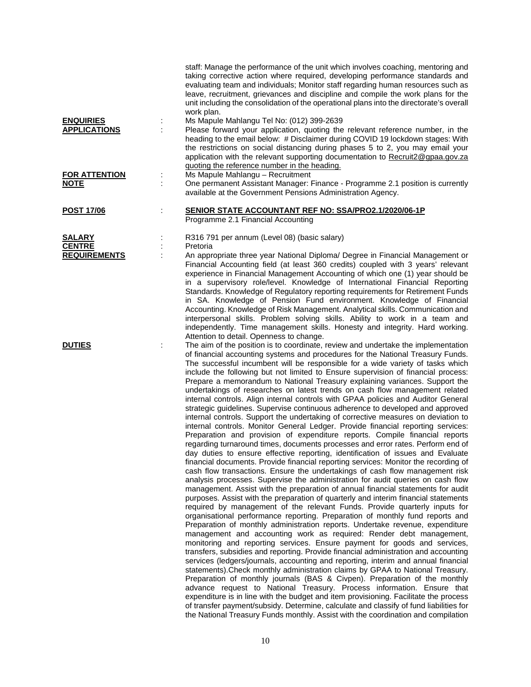| <b>ENQUIRIES</b><br><b>APPLICATIONS</b> | staff: Manage the performance of the unit which involves coaching, mentoring and<br>taking corrective action where required, developing performance standards and<br>evaluating team and individuals; Monitor staff regarding human resources such as<br>leave, recruitment, grievances and discipline and compile the work plans for the<br>unit including the consolidation of the operational plans into the directorate's overall<br>work plan.<br>Ms Mapule Mahlangu Tel No: (012) 399-2639<br>Please forward your application, quoting the relevant reference number, in the<br>heading to the email below: # Disclaimer during COVID 19 lockdown stages: With<br>the restrictions on social distancing during phases 5 to 2, you may email your<br>application with the relevant supporting documentation to Recruit2@gpaa.gov.za<br>quoting the reference number in the heading.                                                                                                                                                                                                                                                                                                                                                                                                                                                                                                                                                                                                                                                                                                                                                                                                                                                                                                                                                                                                                                                                                                                                                                                                                                                                                                                                                                                                                                                                                                                                                                                                                                                                                                                                                              |
|-----------------------------------------|-------------------------------------------------------------------------------------------------------------------------------------------------------------------------------------------------------------------------------------------------------------------------------------------------------------------------------------------------------------------------------------------------------------------------------------------------------------------------------------------------------------------------------------------------------------------------------------------------------------------------------------------------------------------------------------------------------------------------------------------------------------------------------------------------------------------------------------------------------------------------------------------------------------------------------------------------------------------------------------------------------------------------------------------------------------------------------------------------------------------------------------------------------------------------------------------------------------------------------------------------------------------------------------------------------------------------------------------------------------------------------------------------------------------------------------------------------------------------------------------------------------------------------------------------------------------------------------------------------------------------------------------------------------------------------------------------------------------------------------------------------------------------------------------------------------------------------------------------------------------------------------------------------------------------------------------------------------------------------------------------------------------------------------------------------------------------------------------------------------------------------------------------------------------------------------------------------------------------------------------------------------------------------------------------------------------------------------------------------------------------------------------------------------------------------------------------------------------------------------------------------------------------------------------------------------------------------------------------------------------------------------------------------|
| <b>FOR ATTENTION</b><br><u>NOTE</u>     | Ms Mapule Mahlangu - Recruitment<br>One permanent Assistant Manager: Finance - Programme 2.1 position is currently<br>available at the Government Pensions Administration Agency.                                                                                                                                                                                                                                                                                                                                                                                                                                                                                                                                                                                                                                                                                                                                                                                                                                                                                                                                                                                                                                                                                                                                                                                                                                                                                                                                                                                                                                                                                                                                                                                                                                                                                                                                                                                                                                                                                                                                                                                                                                                                                                                                                                                                                                                                                                                                                                                                                                                                     |
| <b>POST 17/06</b>                       | SENIOR STATE ACCOUNTANT REF NO: SSA/PRO2.1/2020/06-1P<br>Programme 2.1 Financial Accounting                                                                                                                                                                                                                                                                                                                                                                                                                                                                                                                                                                                                                                                                                                                                                                                                                                                                                                                                                                                                                                                                                                                                                                                                                                                                                                                                                                                                                                                                                                                                                                                                                                                                                                                                                                                                                                                                                                                                                                                                                                                                                                                                                                                                                                                                                                                                                                                                                                                                                                                                                           |
| <b>SALARY</b><br><b>CENTRE</b>          | R316 791 per annum (Level 08) (basic salary)<br>Pretoria                                                                                                                                                                                                                                                                                                                                                                                                                                                                                                                                                                                                                                                                                                                                                                                                                                                                                                                                                                                                                                                                                                                                                                                                                                                                                                                                                                                                                                                                                                                                                                                                                                                                                                                                                                                                                                                                                                                                                                                                                                                                                                                                                                                                                                                                                                                                                                                                                                                                                                                                                                                              |
| <b>REQUIREMENTS</b>                     | An appropriate three year National Diploma/ Degree in Financial Management or<br>Financial Accounting field (at least 360 credits) coupled with 3 years' relevant<br>experience in Financial Management Accounting of which one (1) year should be<br>in a supervisory role/level. Knowledge of International Financial Reporting<br>Standards. Knowledge of Regulatory reporting requirements for Retirement Funds<br>in SA. Knowledge of Pension Fund environment. Knowledge of Financial<br>Accounting. Knowledge of Risk Management. Analytical skills. Communication and<br>interpersonal skills. Problem solving skills. Ability to work in a team and<br>independently. Time management skills. Honesty and integrity. Hard working.<br>Attention to detail. Openness to change.                                                                                                                                                                                                                                                                                                                                                                                                                                                                                                                                                                                                                                                                                                                                                                                                                                                                                                                                                                                                                                                                                                                                                                                                                                                                                                                                                                                                                                                                                                                                                                                                                                                                                                                                                                                                                                                               |
| <b>DUTIES</b>                           | The aim of the position is to coordinate, review and undertake the implementation<br>of financial accounting systems and procedures for the National Treasury Funds.<br>The successful incumbent will be responsible for a wide variety of tasks which<br>include the following but not limited to Ensure supervision of financial process:<br>Prepare a memorandum to National Treasury explaining variances. Support the<br>undertakings of researches on latest trends on cash flow management related<br>internal controls. Align internal controls with GPAA policies and Auditor General<br>strategic guidelines. Supervise continuous adherence to developed and approved<br>internal controls. Support the undertaking of corrective measures on deviation to<br>internal controls. Monitor General Ledger. Provide financial reporting services:<br>Preparation and provision of expenditure reports. Compile financial reports<br>regarding turnaround times, documents processes and error rates. Perform end of<br>day duties to ensure effective reporting, identification of issues and Evaluate<br>financial documents. Provide financial reporting services: Monitor the recording of<br>cash flow transactions. Ensure the undertakings of cash flow management risk<br>analysis processes. Supervise the administration for audit queries on cash flow<br>management. Assist with the preparation of annual financial statements for audit<br>purposes. Assist with the preparation of quarterly and interim financial statements<br>required by management of the relevant Funds. Provide quarterly inputs for<br>organisational performance reporting. Preparation of monthly fund reports and<br>Preparation of monthly administration reports. Undertake revenue, expenditure<br>management and accounting work as required: Render debt management,<br>monitoring and reporting services. Ensure payment for goods and services,<br>transfers, subsidies and reporting. Provide financial administration and accounting<br>services (ledgers/journals, accounting and reporting, interim and annual financial<br>statements). Check monthly administration claims by GPAA to National Treasury.<br>Preparation of monthly journals (BAS & Civpen). Preparation of the monthly<br>advance request to National Treasury. Process information. Ensure that<br>expenditure is in line with the budget and item provisioning. Facilitate the process<br>of transfer payment/subsidy. Determine, calculate and classify of fund liabilities for<br>the National Treasury Funds monthly. Assist with the coordination and compilation |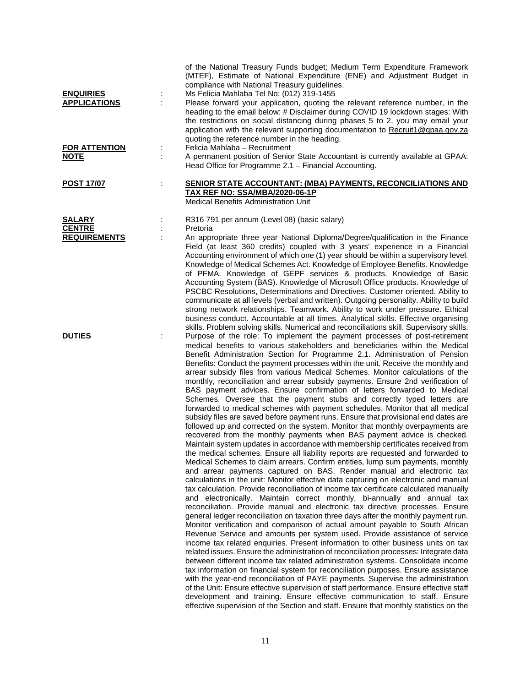| <b>ENQUIRIES</b><br><b>APPLICATIONS</b><br><b>FOR ATTENTION</b><br><b>NOTE</b> | t | of the National Treasury Funds budget; Medium Term Expenditure Framework<br>(MTEF), Estimate of National Expenditure (ENE) and Adjustment Budget in<br>compliance with National Treasury guidelines.<br>Ms Felicia Mahlaba Tel No: (012) 319-1455<br>Please forward your application, quoting the relevant reference number, in the<br>heading to the email below: # Disclaimer during COVID 19 lockdown stages: With<br>the restrictions on social distancing during phases 5 to 2, you may email your<br>application with the relevant supporting documentation to Recruit1@gpaa.gov.za<br>quoting the reference number in the heading.<br>Felicia Mahlaba - Recruitment<br>A permanent position of Senior State Accountant is currently available at GPAA:                                                                                                                                                                                                                                                                                                                                                                                                                                                                                                                                                                                                                                                                                                                                                                                                                                                                                                                                                                                                                                                                                                                                                                                                                                                                                                                                                                                                                                                                                                                                                                                                                                                                                                                                                                                                                                                                                 |
|--------------------------------------------------------------------------------|---|-----------------------------------------------------------------------------------------------------------------------------------------------------------------------------------------------------------------------------------------------------------------------------------------------------------------------------------------------------------------------------------------------------------------------------------------------------------------------------------------------------------------------------------------------------------------------------------------------------------------------------------------------------------------------------------------------------------------------------------------------------------------------------------------------------------------------------------------------------------------------------------------------------------------------------------------------------------------------------------------------------------------------------------------------------------------------------------------------------------------------------------------------------------------------------------------------------------------------------------------------------------------------------------------------------------------------------------------------------------------------------------------------------------------------------------------------------------------------------------------------------------------------------------------------------------------------------------------------------------------------------------------------------------------------------------------------------------------------------------------------------------------------------------------------------------------------------------------------------------------------------------------------------------------------------------------------------------------------------------------------------------------------------------------------------------------------------------------------------------------------------------------------------------------------------------------------------------------------------------------------------------------------------------------------------------------------------------------------------------------------------------------------------------------------------------------------------------------------------------------------------------------------------------------------------------------------------------------------------------------------------------------------|
|                                                                                |   | Head Office for Programme 2.1 - Financial Accounting.                                                                                                                                                                                                                                                                                                                                                                                                                                                                                                                                                                                                                                                                                                                                                                                                                                                                                                                                                                                                                                                                                                                                                                                                                                                                                                                                                                                                                                                                                                                                                                                                                                                                                                                                                                                                                                                                                                                                                                                                                                                                                                                                                                                                                                                                                                                                                                                                                                                                                                                                                                                         |
| <b>POST 17/07</b>                                                              |   | SENIOR STATE ACCOUNTANT: (MBA) PAYMENTS, RECONCILIATIONS AND<br><b>TAX REF NO: SSA/MBA/2020-06-1P</b><br>Medical Benefits Administration Unit                                                                                                                                                                                                                                                                                                                                                                                                                                                                                                                                                                                                                                                                                                                                                                                                                                                                                                                                                                                                                                                                                                                                                                                                                                                                                                                                                                                                                                                                                                                                                                                                                                                                                                                                                                                                                                                                                                                                                                                                                                                                                                                                                                                                                                                                                                                                                                                                                                                                                                 |
| <b>SALARY</b><br><b>CENTRE</b><br><b>REQUIREMENTS</b>                          |   | R316 791 per annum (Level 08) (basic salary)<br>Pretoria<br>An appropriate three year National Diploma/Degree/qualification in the Finance<br>Field (at least 360 credits) coupled with 3 years' experience in a Financial<br>Accounting environment of which one (1) year should be within a supervisory level.<br>Knowledge of Medical Schemes Act. Knowledge of Employee Benefits. Knowledge<br>of PFMA. Knowledge of GEPF services & products. Knowledge of Basic<br>Accounting System (BAS). Knowledge of Microsoft Office products. Knowledge of<br>PSCBC Resolutions, Determinations and Directives. Customer oriented. Ability to<br>communicate at all levels (verbal and written). Outgoing personality. Ability to build<br>strong network relationships. Teamwork. Ability to work under pressure. Ethical<br>business conduct. Accountable at all times. Analytical skills. Effective organising<br>skills. Problem solving skills. Numerical and reconciliations skill. Supervisory skills.                                                                                                                                                                                                                                                                                                                                                                                                                                                                                                                                                                                                                                                                                                                                                                                                                                                                                                                                                                                                                                                                                                                                                                                                                                                                                                                                                                                                                                                                                                                                                                                                                                     |
| <b>DUTIES</b>                                                                  | ÷ | Purpose of the role: To implement the payment processes of post-retirement<br>medical benefits to various stakeholders and beneficiaries within the Medical<br>Benefit Administration Section for Programme 2.1. Administration of Pension<br>Benefits: Conduct the payment processes within the unit. Receive the monthly and<br>arrear subsidy files from various Medical Schemes. Monitor calculations of the<br>monthly, reconciliation and arrear subsidy payments. Ensure 2nd verification of<br>BAS payment advices. Ensure confirmation of letters forwarded to Medical<br>Schemes. Oversee that the payment stubs and correctly typed letters are<br>forwarded to medical schemes with payment schedules. Monitor that all medical<br>subsidy files are saved before payment runs. Ensure that provisional end dates are<br>followed up and corrected on the system. Monitor that monthly overpayments are<br>recovered from the monthly payments when BAS payment advice is checked.<br>Maintain system updates in accordance with membership certificates received from<br>the medical schemes. Ensure all liability reports are requested and forwarded to<br>Medical Schemes to claim arrears. Confirm entities, lump sum payments, monthly<br>and arrear payments captured on BAS. Render manual and electronic tax<br>calculations in the unit: Monitor effective data capturing on electronic and manual<br>tax calculation. Provide reconciliation of income tax certificate calculated manually<br>and electronically. Maintain correct monthly, bi-annually and annual tax<br>reconciliation. Provide manual and electronic tax directive processes. Ensure<br>general ledger reconciliation on taxation three days after the monthly payment run.<br>Monitor verification and comparison of actual amount payable to South African<br>Revenue Service and amounts per system used. Provide assistance of service<br>income tax related enquiries. Present information to other business units on tax<br>related issues. Ensure the administration of reconciliation processes: Integrate data<br>between different income tax related administration systems. Consolidate income<br>tax information on financial system for reconciliation purposes. Ensure assistance<br>with the year-end reconciliation of PAYE payments. Supervise the administration<br>of the Unit: Ensure effective supervision of staff performance. Ensure effective staff<br>development and training. Ensure effective communication to staff. Ensure<br>effective supervision of the Section and staff. Ensure that monthly statistics on the |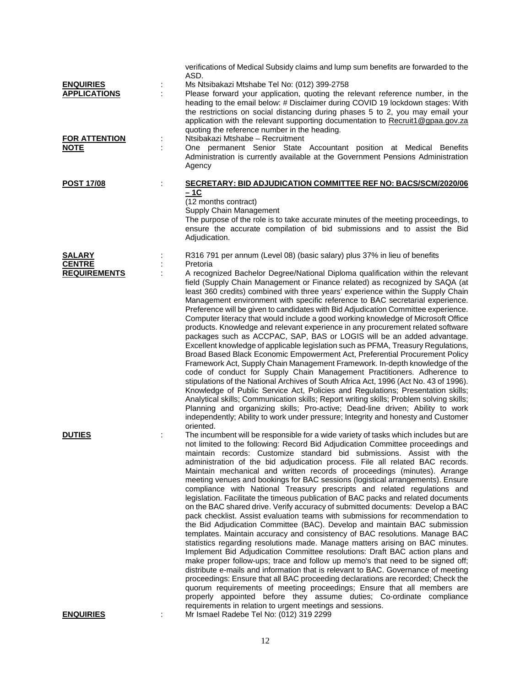|                                         | verifications of Medical Subsidy claims and lump sum benefits are forwarded to the<br>ASD.                                                                                                                                                                                                                                                                                                                                                                                                                                                                                                                                                                                                                                                                                                                                                                                                                                                                                                                                                                                                                                                                                                                                                                                                                                                                                                                                                                                                                                                                                        |
|-----------------------------------------|-----------------------------------------------------------------------------------------------------------------------------------------------------------------------------------------------------------------------------------------------------------------------------------------------------------------------------------------------------------------------------------------------------------------------------------------------------------------------------------------------------------------------------------------------------------------------------------------------------------------------------------------------------------------------------------------------------------------------------------------------------------------------------------------------------------------------------------------------------------------------------------------------------------------------------------------------------------------------------------------------------------------------------------------------------------------------------------------------------------------------------------------------------------------------------------------------------------------------------------------------------------------------------------------------------------------------------------------------------------------------------------------------------------------------------------------------------------------------------------------------------------------------------------------------------------------------------------|
| <b>ENQUIRIES</b><br><b>APPLICATIONS</b> | Ms Ntsibakazi Mtshabe Tel No: (012) 399-2758<br>Please forward your application, quoting the relevant reference number, in the<br>heading to the email below: # Disclaimer during COVID 19 lockdown stages: With<br>the restrictions on social distancing during phases 5 to 2, you may email your<br>application with the relevant supporting documentation to Recruit1@gpaa.gov.za<br>quoting the reference number in the heading.                                                                                                                                                                                                                                                                                                                                                                                                                                                                                                                                                                                                                                                                                                                                                                                                                                                                                                                                                                                                                                                                                                                                              |
| <b>FOR ATTENTION</b><br><b>NOTE</b>     | Ntsibakazi Mtshabe - Recruitment<br>One permanent Senior State Accountant position at Medical Benefits<br>Administration is currently available at the Government Pensions Administration<br>Agency                                                                                                                                                                                                                                                                                                                                                                                                                                                                                                                                                                                                                                                                                                                                                                                                                                                                                                                                                                                                                                                                                                                                                                                                                                                                                                                                                                               |
| <b>POST 17/08</b>                       | <b>SECRETARY: BID ADJUDICATION COMMITTEE REF NO: BACS/SCM/2020/06</b><br>$-1C$<br>(12 months contract)<br>Supply Chain Management<br>The purpose of the role is to take accurate minutes of the meeting proceedings, to                                                                                                                                                                                                                                                                                                                                                                                                                                                                                                                                                                                                                                                                                                                                                                                                                                                                                                                                                                                                                                                                                                                                                                                                                                                                                                                                                           |
|                                         | ensure the accurate compilation of bid submissions and to assist the Bid<br>Adjudication.                                                                                                                                                                                                                                                                                                                                                                                                                                                                                                                                                                                                                                                                                                                                                                                                                                                                                                                                                                                                                                                                                                                                                                                                                                                                                                                                                                                                                                                                                         |
| <b>SALARY</b>                           | R316 791 per annum (Level 08) (basic salary) plus 37% in lieu of benefits                                                                                                                                                                                                                                                                                                                                                                                                                                                                                                                                                                                                                                                                                                                                                                                                                                                                                                                                                                                                                                                                                                                                                                                                                                                                                                                                                                                                                                                                                                         |
| <b>CENTRE</b><br><b>REQUIREMENTS</b>    | Pretoria<br>A recognized Bachelor Degree/National Diploma qualification within the relevant<br>field (Supply Chain Management or Finance related) as recognized by SAQA (at<br>least 360 credits) combined with three years' experience within the Supply Chain<br>Management environment with specific reference to BAC secretarial experience.<br>Preference will be given to candidates with Bid Adjudication Committee experience.<br>Computer literacy that would include a good working knowledge of Microsoft Office<br>products. Knowledge and relevant experience in any procurement related software<br>packages such as ACCPAC, SAP, BAS or LOGIS will be an added advantage.<br>Excellent knowledge of applicable legislation such as PFMA, Treasury Regulations,<br>Broad Based Black Economic Empowerment Act, Preferential Procurement Policy<br>Framework Act, Supply Chain Management Framework. In-depth knowledge of the<br>code of conduct for Supply Chain Management Practitioners. Adherence to<br>stipulations of the National Archives of South Africa Act, 1996 (Act No. 43 of 1996).<br>Knowledge of Public Service Act, Policies and Regulations; Presentation skills;<br>Analytical skills; Communication skills; Report writing skills; Problem solving skills;<br>Planning and organizing skills; Pro-active; Dead-line driven; Ability to work<br>independently; Ability to work under pressure; Integrity and honesty and Customer<br>oriented.                                                                                                  |
| <b>DUTIES</b>                           | The incumbent will be responsible for a wide variety of tasks which includes but are<br>not limited to the following: Record Bid Adjudication Committee proceedings and<br>maintain records: Customize standard bid submissions. Assist with the<br>administration of the bid adjudication process. File all related BAC records.<br>Maintain mechanical and written records of proceedings (minutes). Arrange<br>meeting venues and bookings for BAC sessions (logistical arrangements). Ensure<br>compliance with National Treasury prescripts and related regulations and<br>legislation. Facilitate the timeous publication of BAC packs and related documents<br>on the BAC shared drive. Verify accuracy of submitted documents: Develop a BAC<br>pack checklist. Assist evaluation teams with submissions for recommendation to<br>the Bid Adjudication Committee (BAC). Develop and maintain BAC submission<br>templates. Maintain accuracy and consistency of BAC resolutions. Manage BAC<br>statistics regarding resolutions made. Manage matters arising on BAC minutes.<br>Implement Bid Adjudication Committee resolutions: Draft BAC action plans and<br>make proper follow-ups; trace and follow up memo's that need to be signed off;<br>distribute e-mails and information that is relevant to BAC. Governance of meeting<br>proceedings: Ensure that all BAC proceeding declarations are recorded; Check the<br>quorum requirements of meeting proceedings; Ensure that all members are<br>properly appointed before they assume duties; Co-ordinate compliance |
| <b>ENQUIRIES</b>                        | requirements in relation to urgent meetings and sessions.<br>Mr Ismael Radebe Tel No: (012) 319 2299                                                                                                                                                                                                                                                                                                                                                                                                                                                                                                                                                                                                                                                                                                                                                                                                                                                                                                                                                                                                                                                                                                                                                                                                                                                                                                                                                                                                                                                                              |
|                                         |                                                                                                                                                                                                                                                                                                                                                                                                                                                                                                                                                                                                                                                                                                                                                                                                                                                                                                                                                                                                                                                                                                                                                                                                                                                                                                                                                                                                                                                                                                                                                                                   |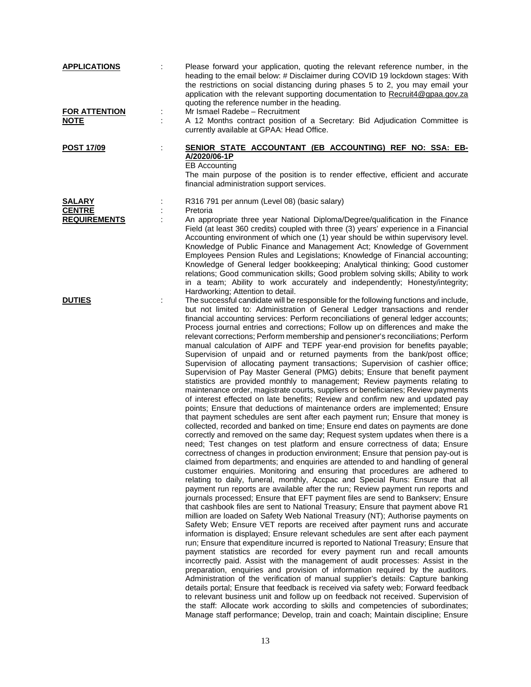| <b>APPLICATIONS</b>                 | Please forward your application, quoting the relevant reference number, in the<br>heading to the email below: # Disclaimer during COVID 19 lockdown stages: With<br>the restrictions on social distancing during phases 5 to 2, you may email your<br>application with the relevant supporting documentation to Recruit4@gpaa.gov.za<br>quoting the reference number in the heading.                                                                                                                                                                                                                                                                                                                                                                                                                                                                                                                                                                                                                                                                                                                                                                                                                                                                                                                                                                                                                                                                                                                                                                                                                                                                                                                                                                                                                                                                                                                                                                                                                                                                                                                                                                                                                                                                                                                                                                                                                                                                                                                                                                                                                                                                                                                                                                                                                                                                                                                                                                                                                                                                           |
|-------------------------------------|----------------------------------------------------------------------------------------------------------------------------------------------------------------------------------------------------------------------------------------------------------------------------------------------------------------------------------------------------------------------------------------------------------------------------------------------------------------------------------------------------------------------------------------------------------------------------------------------------------------------------------------------------------------------------------------------------------------------------------------------------------------------------------------------------------------------------------------------------------------------------------------------------------------------------------------------------------------------------------------------------------------------------------------------------------------------------------------------------------------------------------------------------------------------------------------------------------------------------------------------------------------------------------------------------------------------------------------------------------------------------------------------------------------------------------------------------------------------------------------------------------------------------------------------------------------------------------------------------------------------------------------------------------------------------------------------------------------------------------------------------------------------------------------------------------------------------------------------------------------------------------------------------------------------------------------------------------------------------------------------------------------------------------------------------------------------------------------------------------------------------------------------------------------------------------------------------------------------------------------------------------------------------------------------------------------------------------------------------------------------------------------------------------------------------------------------------------------------------------------------------------------------------------------------------------------------------------------------------------------------------------------------------------------------------------------------------------------------------------------------------------------------------------------------------------------------------------------------------------------------------------------------------------------------------------------------------------------------------------------------------------------------------------------------------------------|
| <b>FOR ATTENTION</b><br><b>NOTE</b> | Mr Ismael Radebe - Recruitment<br>A 12 Months contract position of a Secretary: Bid Adjudication Committee is<br>currently available at GPAA: Head Office.                                                                                                                                                                                                                                                                                                                                                                                                                                                                                                                                                                                                                                                                                                                                                                                                                                                                                                                                                                                                                                                                                                                                                                                                                                                                                                                                                                                                                                                                                                                                                                                                                                                                                                                                                                                                                                                                                                                                                                                                                                                                                                                                                                                                                                                                                                                                                                                                                                                                                                                                                                                                                                                                                                                                                                                                                                                                                                     |
| <u>POST 17/09</u>                   | SENIOR STATE ACCOUNTANT (EB ACCOUNTING) REF NO: SSA: EB-<br>A/2020/06-1P<br><b>EB Accounting</b><br>The main purpose of the position is to render effective, efficient and accurate<br>financial administration support services.                                                                                                                                                                                                                                                                                                                                                                                                                                                                                                                                                                                                                                                                                                                                                                                                                                                                                                                                                                                                                                                                                                                                                                                                                                                                                                                                                                                                                                                                                                                                                                                                                                                                                                                                                                                                                                                                                                                                                                                                                                                                                                                                                                                                                                                                                                                                                                                                                                                                                                                                                                                                                                                                                                                                                                                                                              |
| <b>SALARY</b><br><b>CENTRE</b>      | R316 791 per annum (Level 08) (basic salary)<br>Pretoria                                                                                                                                                                                                                                                                                                                                                                                                                                                                                                                                                                                                                                                                                                                                                                                                                                                                                                                                                                                                                                                                                                                                                                                                                                                                                                                                                                                                                                                                                                                                                                                                                                                                                                                                                                                                                                                                                                                                                                                                                                                                                                                                                                                                                                                                                                                                                                                                                                                                                                                                                                                                                                                                                                                                                                                                                                                                                                                                                                                                       |
| <b>REQUIREMENTS</b>                 | An appropriate three year National Diploma/Degree/qualification in the Finance<br>Field (at least 360 credits) coupled with three (3) years' experience in a Financial<br>Accounting environment of which one (1) year should be within supervisory level.<br>Knowledge of Public Finance and Management Act; Knowledge of Government<br>Employees Pension Rules and Legislations; Knowledge of Financial accounting;<br>Knowledge of General ledger bookkeeping; Analytical thinking; Good customer<br>relations; Good communication skills; Good problem solving skills; Ability to work<br>in a team; Ability to work accurately and independently; Honesty/integrity;<br>Hardworking; Attention to detail.                                                                                                                                                                                                                                                                                                                                                                                                                                                                                                                                                                                                                                                                                                                                                                                                                                                                                                                                                                                                                                                                                                                                                                                                                                                                                                                                                                                                                                                                                                                                                                                                                                                                                                                                                                                                                                                                                                                                                                                                                                                                                                                                                                                                                                                                                                                                                 |
| <b>DUTIES</b>                       | The successful candidate will be responsible for the following functions and include,<br>but not limited to: Administration of General Ledger transactions and render<br>financial accounting services: Perform reconciliations of general ledger accounts;<br>Process journal entries and corrections; Follow up on differences and make the<br>relevant corrections; Perform membership and pensioner's reconciliations; Perform<br>manual calculation of AIPF and TEPF year-end provision for benefits payable;<br>Supervision of unpaid and or returned payments from the bank/post office;<br>Supervision of allocating payment transactions; Supervision of cashier office;<br>Supervision of Pay Master General (PMG) debits; Ensure that benefit payment<br>statistics are provided monthly to management; Review payments relating to<br>maintenance order, magistrate courts, suppliers or beneficiaries; Review payments<br>of interest effected on late benefits; Review and confirm new and updated pay<br>points; Ensure that deductions of maintenance orders are implemented; Ensure<br>that payment schedules are sent after each payment run; Ensure that money is<br>collected, recorded and banked on time; Ensure end dates on payments are done<br>correctly and removed on the same day; Request system updates when there is a<br>need; Test changes on test platform and ensure correctness of data; Ensure<br>correctness of changes in production environment; Ensure that pension pay-out is<br>claimed from departments; and enquiries are attended to and handling of general<br>customer enquiries. Monitoring and ensuring that procedures are adhered to<br>relating to daily, funeral, monthly, Accpac and Special Runs: Ensure that all<br>payment run reports are available after the run; Review payment run reports and<br>journals processed; Ensure that EFT payment files are send to Bankserv; Ensure<br>that cashbook files are sent to National Treasury; Ensure that payment above R1<br>million are loaded on Safety Web National Treasury (NT); Authorise payments on<br>Safety Web; Ensure VET reports are received after payment runs and accurate<br>information is displayed; Ensure relevant schedules are sent after each payment<br>run; Ensure that expenditure incurred is reported to National Treasury; Ensure that<br>payment statistics are recorded for every payment run and recall amounts<br>incorrectly paid. Assist with the management of audit processes: Assist in the<br>preparation, enquiries and provision of information required by the auditors.<br>Administration of the verification of manual supplier's details: Capture banking<br>details portal; Ensure that feedback is received via safety web; Forward feedback<br>to relevant business unit and follow up on feedback not received. Supervision of<br>the staff: Allocate work according to skills and competencies of subordinates;<br>Manage staff performance; Develop, train and coach; Maintain discipline; Ensure |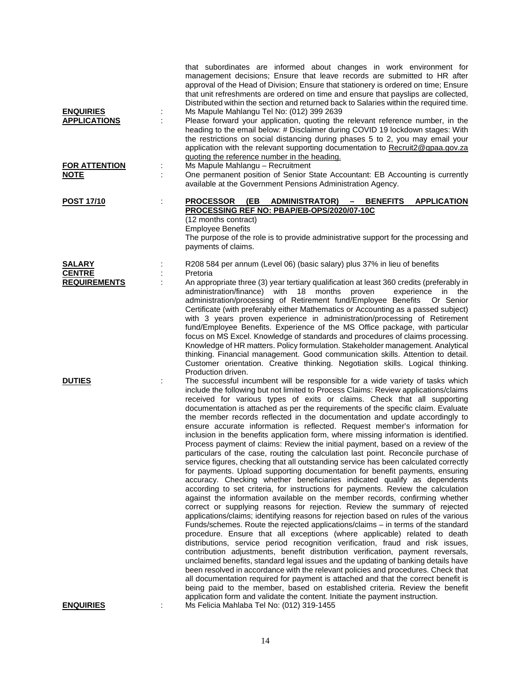| <b>ENQUIRIES</b><br><b>APPLICATIONS</b><br><b>FOR ATTENTION</b><br><b>NOTE</b> | that subordinates are informed about changes in work environment for<br>management decisions; Ensure that leave records are submitted to HR after<br>approval of the Head of Division; Ensure that stationery is ordered on time; Ensure<br>that unit refreshments are ordered on time and ensure that payslips are collected,<br>Distributed within the section and returned back to Salaries within the required time.<br>Ms Mapule Mahlangu Tel No: (012) 399 2639<br>Please forward your application, quoting the relevant reference number, in the<br>heading to the email below: # Disclaimer during COVID 19 lockdown stages: With<br>the restrictions on social distancing during phases 5 to 2, you may email your<br>application with the relevant supporting documentation to Recruit2@gpaa.gov.za<br>quoting the reference number in the heading.<br>Ms Mapule Mahlangu - Recruitment<br>One permanent position of Senior State Accountant: EB Accounting is currently                                                                                                                                                                                                                                                                                                                                                                                                                                                                                                                                                                                                                                                                                                                                                                                                                                                                                                                                                                                                                                                                                                                                                      |
|--------------------------------------------------------------------------------|-----------------------------------------------------------------------------------------------------------------------------------------------------------------------------------------------------------------------------------------------------------------------------------------------------------------------------------------------------------------------------------------------------------------------------------------------------------------------------------------------------------------------------------------------------------------------------------------------------------------------------------------------------------------------------------------------------------------------------------------------------------------------------------------------------------------------------------------------------------------------------------------------------------------------------------------------------------------------------------------------------------------------------------------------------------------------------------------------------------------------------------------------------------------------------------------------------------------------------------------------------------------------------------------------------------------------------------------------------------------------------------------------------------------------------------------------------------------------------------------------------------------------------------------------------------------------------------------------------------------------------------------------------------------------------------------------------------------------------------------------------------------------------------------------------------------------------------------------------------------------------------------------------------------------------------------------------------------------------------------------------------------------------------------------------------------------------------------------------------------------------------------|
|                                                                                | available at the Government Pensions Administration Agency.                                                                                                                                                                                                                                                                                                                                                                                                                                                                                                                                                                                                                                                                                                                                                                                                                                                                                                                                                                                                                                                                                                                                                                                                                                                                                                                                                                                                                                                                                                                                                                                                                                                                                                                                                                                                                                                                                                                                                                                                                                                                             |
| <b>POST 17/10</b>                                                              | <b>APPLICATION</b><br><b>PROCESSOR (EB)</b><br><b>ADMINISTRATOR)</b><br><b>BENEFITS</b><br>$\sim$<br>PROCESSING REF NO: PBAP/EB-OPS/2020/07-10C<br>(12 months contract)<br><b>Employee Benefits</b><br>The purpose of the role is to provide administrative support for the processing and<br>payments of claims.                                                                                                                                                                                                                                                                                                                                                                                                                                                                                                                                                                                                                                                                                                                                                                                                                                                                                                                                                                                                                                                                                                                                                                                                                                                                                                                                                                                                                                                                                                                                                                                                                                                                                                                                                                                                                       |
| <b>SALARY</b><br><b>CENTRE</b><br><b>REQUIREMENTS</b>                          | R208 584 per annum (Level 06) (basic salary) plus 37% in lieu of benefits<br>Pretoria<br>An appropriate three (3) year tertiary qualification at least 360 credits (preferably in<br>18 months proven<br>administration/finance) with<br>experience in<br>the<br>administration/processing of Retirement fund/Employee Benefits<br>Or Senior<br>Certificate (with preferably either Mathematics or Accounting as a passed subject)<br>with 3 years proven experience in administration/processing of Retirement<br>fund/Employee Benefits. Experience of the MS Office package, with particular<br>focus on MS Excel. Knowledge of standards and procedures of claims processing.<br>Knowledge of HR matters. Policy formulation. Stakeholder management. Analytical<br>thinking. Financial management. Good communication skills. Attention to detail.<br>Customer orientation. Creative thinking. Negotiation skills. Logical thinking.<br>Production driven.                                                                                                                                                                                                                                                                                                                                                                                                                                                                                                                                                                                                                                                                                                                                                                                                                                                                                                                                                                                                                                                                                                                                                                         |
| <b>DUTIES</b>                                                                  | The successful incumbent will be responsible for a wide variety of tasks which<br>include the following but not limited to Process Claims: Review applications/claims<br>received for various types of exits or claims. Check that all supporting<br>documentation is attached as per the requirements of the specific claim. Evaluate<br>the member records reflected in the documentation and update accordingly to<br>ensure accurate information is reflected. Request member's information for<br>inclusion in the benefits application form, where missing information is identified.<br>Process payment of claims: Review the initial payment, based on a review of the<br>particulars of the case, routing the calculation last point. Reconcile purchase of<br>service figures, checking that all outstanding service has been calculated correctly<br>for payments. Upload supporting documentation for benefit payments, ensuring<br>accuracy. Checking whether beneficiaries indicated qualify as dependents<br>according to set criteria, for instructions for payments. Review the calculation<br>against the information available on the member records, confirming whether<br>correct or supplying reasons for rejection. Review the summary of rejected<br>applications/claims; identifying reasons for rejection based on rules of the various<br>Funds/schemes. Route the rejected applications/claims - in terms of the standard<br>procedure. Ensure that all exceptions (where applicable) related to death<br>distributions, service period recognition verification, fraud and risk issues,<br>contribution adjustments, benefit distribution verification, payment reversals,<br>unclaimed benefits, standard legal issues and the updating of banking details have<br>been resolved in accordance with the relevant policies and procedures. Check that<br>all documentation required for payment is attached and that the correct benefit is<br>being paid to the member, based on established criteria. Review the benefit<br>application form and validate the content. Initiate the payment instruction. |
| <b>ENQUIRIES</b>                                                               | Ms Felicia Mahlaba Tel No: (012) 319-1455                                                                                                                                                                                                                                                                                                                                                                                                                                                                                                                                                                                                                                                                                                                                                                                                                                                                                                                                                                                                                                                                                                                                                                                                                                                                                                                                                                                                                                                                                                                                                                                                                                                                                                                                                                                                                                                                                                                                                                                                                                                                                               |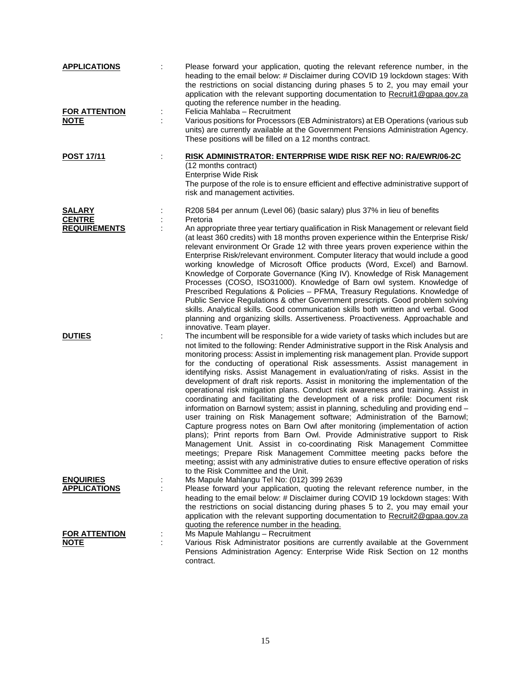| <b>APPLICATIONS</b><br><b>FOR ATTENTION</b> |   | Please forward your application, quoting the relevant reference number, in the<br>heading to the email below: # Disclaimer during COVID 19 lockdown stages: With<br>the restrictions on social distancing during phases 5 to 2, you may email your<br>application with the relevant supporting documentation to Recruit1@gpaa.gov.za<br>quoting the reference number in the heading.<br>Felicia Mahlaba - Recruitment                                                                                                                                                                                                                                                                                                                                                                                                                                                                                                                                                                                                                                                                                                                                                                                                                                                                                           |
|---------------------------------------------|---|-----------------------------------------------------------------------------------------------------------------------------------------------------------------------------------------------------------------------------------------------------------------------------------------------------------------------------------------------------------------------------------------------------------------------------------------------------------------------------------------------------------------------------------------------------------------------------------------------------------------------------------------------------------------------------------------------------------------------------------------------------------------------------------------------------------------------------------------------------------------------------------------------------------------------------------------------------------------------------------------------------------------------------------------------------------------------------------------------------------------------------------------------------------------------------------------------------------------------------------------------------------------------------------------------------------------|
| <b>NOTE</b>                                 |   | Various positions for Processors (EB Administrators) at EB Operations (various sub<br>units) are currently available at the Government Pensions Administration Agency.<br>These positions will be filled on a 12 months contract.                                                                                                                                                                                                                                                                                                                                                                                                                                                                                                                                                                                                                                                                                                                                                                                                                                                                                                                                                                                                                                                                               |
| <b>POST 17/11</b>                           | ÷ | <b>RISK ADMINISTRATOR: ENTERPRISE WIDE RISK REF NO: RA/EWR/06-2C</b><br>(12 months contract)<br><b>Enterprise Wide Risk</b><br>The purpose of the role is to ensure efficient and effective administrative support of<br>risk and management activities.                                                                                                                                                                                                                                                                                                                                                                                                                                                                                                                                                                                                                                                                                                                                                                                                                                                                                                                                                                                                                                                        |
| <b>SALARY</b>                               |   | R208 584 per annum (Level 06) (basic salary) plus 37% in lieu of benefits                                                                                                                                                                                                                                                                                                                                                                                                                                                                                                                                                                                                                                                                                                                                                                                                                                                                                                                                                                                                                                                                                                                                                                                                                                       |
| <b>CENTRE</b><br><b>REQUIREMENTS</b>        |   | Pretoria<br>An appropriate three year tertiary qualification in Risk Management or relevant field<br>(at least 360 credits) with 18 months proven experience within the Enterprise Risk/<br>relevant environment Or Grade 12 with three years proven experience within the<br>Enterprise Risk/relevant environment. Computer literacy that would include a good<br>working knowledge of Microsoft Office products (Word, Excel) and Barnowl.<br>Knowledge of Corporate Governance (King IV). Knowledge of Risk Management<br>Processes (COSO, ISO31000). Knowledge of Barn owl system. Knowledge of<br>Prescribed Regulations & Policies - PFMA, Treasury Regulations. Knowledge of<br>Public Service Regulations & other Government prescripts. Good problem solving<br>skills. Analytical skills. Good communication skills both written and verbal. Good<br>planning and organizing skills. Assertiveness. Proactiveness. Approachable and<br>innovative. Team player.                                                                                                                                                                                                                                                                                                                                       |
| <b>DUTIES</b>                               |   | The incumbent will be responsible for a wide variety of tasks which includes but are<br>not limited to the following: Render Administrative support in the Risk Analysis and<br>monitoring process: Assist in implementing risk management plan. Provide support<br>for the conducting of operational Risk assessments. Assist management in<br>identifying risks. Assist Management in evaluation/rating of risks. Assist in the<br>development of draft risk reports. Assist in monitoring the implementation of the<br>operational risk mitigation plans. Conduct risk awareness and training. Assist in<br>coordinating and facilitating the development of a risk profile: Document risk<br>information on Barnowl system; assist in planning, scheduling and providing end -<br>user training on Risk Management software; Administration of the Barnowl;<br>Capture progress notes on Barn Owl after monitoring (implementation of action<br>plans); Print reports from Barn Owl. Provide Administrative support to Risk<br>Management Unit. Assist in co-coordinating Risk Management Committee<br>meetings; Prepare Risk Management Committee meeting packs before the<br>meeting; assist with any administrative duties to ensure effective operation of risks<br>to the Risk Committee and the Unit. |
| <b>ENQUIRIES</b>                            |   | Ms Mapule Mahlangu Tel No: (012) 399 2639                                                                                                                                                                                                                                                                                                                                                                                                                                                                                                                                                                                                                                                                                                                                                                                                                                                                                                                                                                                                                                                                                                                                                                                                                                                                       |
| <b>APPLICATIONS</b>                         |   | Please forward your application, quoting the relevant reference number, in the<br>heading to the email below: # Disclaimer during COVID 19 lockdown stages: With<br>the restrictions on social distancing during phases 5 to 2, you may email your<br>application with the relevant supporting documentation to Recruit2@gpaa.gov.za<br>quoting the reference number in the heading.                                                                                                                                                                                                                                                                                                                                                                                                                                                                                                                                                                                                                                                                                                                                                                                                                                                                                                                            |
| <b>FOR ATTENTION</b>                        |   | Ms Mapule Mahlangu - Recruitment                                                                                                                                                                                                                                                                                                                                                                                                                                                                                                                                                                                                                                                                                                                                                                                                                                                                                                                                                                                                                                                                                                                                                                                                                                                                                |
| <b>NOTE</b>                                 |   | Various Risk Administrator positions are currently available at the Government<br>Pensions Administration Agency: Enterprise Wide Risk Section on 12 months<br>contract.                                                                                                                                                                                                                                                                                                                                                                                                                                                                                                                                                                                                                                                                                                                                                                                                                                                                                                                                                                                                                                                                                                                                        |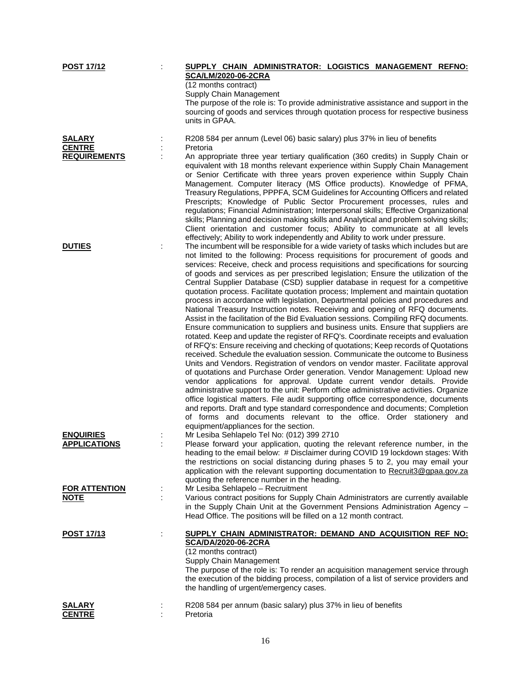| <b>POST 17/12</b>    |   | SUPPLY CHAIN ADMINISTRATOR: LOGISTICS MANAGEMENT REFNO:                                                                                                               |
|----------------------|---|-----------------------------------------------------------------------------------------------------------------------------------------------------------------------|
|                      |   | <b>SCA/LM/2020-06-2CRA</b>                                                                                                                                            |
|                      |   | (12 months contract)                                                                                                                                                  |
|                      |   | Supply Chain Management                                                                                                                                               |
|                      |   | The purpose of the role is: To provide administrative assistance and support in the                                                                                   |
|                      |   | sourcing of goods and services through quotation process for respective business<br>units in GPAA.                                                                    |
|                      |   |                                                                                                                                                                       |
| <b>SALARY</b>        |   | R208 584 per annum (Level 06) basic salary) plus 37% in lieu of benefits                                                                                              |
| <b>CENTRE</b>        |   | Pretoria                                                                                                                                                              |
| <b>REQUIREMENTS</b>  |   | An appropriate three year tertiary qualification (360 credits) in Supply Chain or                                                                                     |
|                      |   | equivalent with 18 months relevant experience within Supply Chain Management                                                                                          |
|                      |   | or Senior Certificate with three years proven experience within Supply Chain                                                                                          |
|                      |   | Management. Computer literacy (MS Office products). Knowledge of PFMA,                                                                                                |
|                      |   | Treasury Regulations, PPPFA, SCM Guidelines for Accounting Officers and related                                                                                       |
|                      |   | Prescripts; Knowledge of Public Sector Procurement processes, rules and                                                                                               |
|                      |   | regulations; Financial Administration; Interpersonal skills; Effective Organizational                                                                                 |
|                      |   | skills; Planning and decision making skills and Analytical and problem solving skills;<br>Client orientation and customer focus; Ability to communicate at all levels |
|                      |   | effectively; Ability to work independently and Ability to work under pressure.                                                                                        |
| <b>DUTIES</b>        |   | The incumbent will be responsible for a wide variety of tasks which includes but are                                                                                  |
|                      |   | not limited to the following: Process requisitions for procurement of goods and                                                                                       |
|                      |   | services: Receive, check and process requisitions and specifications for sourcing                                                                                     |
|                      |   | of goods and services as per prescribed legislation; Ensure the utilization of the                                                                                    |
|                      |   | Central Supplier Database (CSD) supplier database in request for a competitive                                                                                        |
|                      |   | quotation process. Facilitate quotation process; Implement and maintain quotation                                                                                     |
|                      |   | process in accordance with legislation, Departmental policies and procedures and                                                                                      |
|                      |   | National Treasury Instruction notes. Receiving and opening of RFQ documents.<br>Assist in the facilitation of the Bid Evaluation sessions. Compiling RFQ documents.   |
|                      |   | Ensure communication to suppliers and business units. Ensure that suppliers are                                                                                       |
|                      |   | rotated. Keep and update the register of RFQ's. Coordinate receipts and evaluation                                                                                    |
|                      |   | of RFQ's: Ensure receiving and checking of quotations; Keep records of Quotations                                                                                     |
|                      |   | received. Schedule the evaluation session. Communicate the outcome to Business                                                                                        |
|                      |   | Units and Vendors. Registration of vendors on vendor master. Facilitate approval                                                                                      |
|                      |   | of quotations and Purchase Order generation. Vendor Management: Upload new                                                                                            |
|                      |   | vendor applications for approval. Update current vendor details. Provide                                                                                              |
|                      |   | administrative support to the unit: Perform office administrative activities. Organize                                                                                |
|                      |   | office logistical matters. File audit supporting office correspondence, documents                                                                                     |
|                      |   | and reports. Draft and type standard correspondence and documents; Completion                                                                                         |
|                      |   | of forms and documents relevant to the office. Order stationery and<br>equipment/appliances for the section.                                                          |
| <b>ENQUIRIES</b>     |   | Mr Lesiba Sehlapelo Tel No: (012) 399 2710                                                                                                                            |
| <b>APPLICATIONS</b>  |   | Please forward your application, quoting the relevant reference number, in the                                                                                        |
|                      |   | heading to the email below: # Disclaimer during COVID 19 lockdown stages: With                                                                                        |
|                      |   | the restrictions on social distancing during phases 5 to 2, you may email your                                                                                        |
|                      |   | application with the relevant supporting documentation to Recruit3@gpaa.gov.za                                                                                        |
|                      |   | quoting the reference number in the heading.                                                                                                                          |
| <b>FOR ATTENTION</b> |   | Mr Lesiba Sehlapelo - Recruitment                                                                                                                                     |
| <b>NOTE</b>          |   | Various contract positions for Supply Chain Administrators are currently available                                                                                    |
|                      |   | in the Supply Chain Unit at the Government Pensions Administration Agency -<br>Head Office. The positions will be filled on a 12 month contract.                      |
|                      |   |                                                                                                                                                                       |
| <u>POST 17/13</u>    | ÷ | SUPPLY CHAIN ADMINISTRATOR: DEMAND AND ACQUISITION REF NO:                                                                                                            |
|                      |   | SCA/DA/2020-06-2CRA                                                                                                                                                   |
|                      |   | (12 months contract)                                                                                                                                                  |
|                      |   | Supply Chain Management                                                                                                                                               |
|                      |   | The purpose of the role is: To render an acquisition management service through                                                                                       |
|                      |   | the execution of the bidding process, compilation of a list of service providers and                                                                                  |
|                      |   | the handling of urgent/emergency cases.                                                                                                                               |
| <b>SALARY</b>        |   | R208 584 per annum (basic salary) plus 37% in lieu of benefits                                                                                                        |
| <b>CENTRE</b>        |   | Pretoria                                                                                                                                                              |
|                      |   |                                                                                                                                                                       |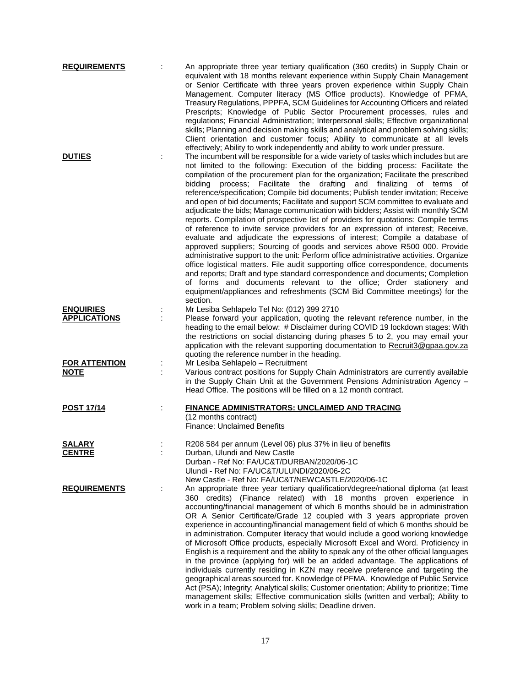| <b>REQUIREMENTS</b>                     | An appropriate three year tertiary qualification (360 credits) in Supply Chain or<br>equivalent with 18 months relevant experience within Supply Chain Management<br>or Senior Certificate with three years proven experience within Supply Chain<br>Management. Computer literacy (MS Office products). Knowledge of PFMA,<br>Treasury Regulations, PPPFA, SCM Guidelines for Accounting Officers and related<br>Prescripts; Knowledge of Public Sector Procurement processes, rules and<br>regulations; Financial Administration; Interpersonal skills; Effective organizational<br>skills; Planning and decision making skills and analytical and problem solving skills;<br>Client orientation and customer focus; Ability to communicate at all levels                                                                                                                                                                                                                                                                                                                                                                                                                                                                                                                                                                                                                                                                                                      |
|-----------------------------------------|------------------------------------------------------------------------------------------------------------------------------------------------------------------------------------------------------------------------------------------------------------------------------------------------------------------------------------------------------------------------------------------------------------------------------------------------------------------------------------------------------------------------------------------------------------------------------------------------------------------------------------------------------------------------------------------------------------------------------------------------------------------------------------------------------------------------------------------------------------------------------------------------------------------------------------------------------------------------------------------------------------------------------------------------------------------------------------------------------------------------------------------------------------------------------------------------------------------------------------------------------------------------------------------------------------------------------------------------------------------------------------------------------------------------------------------------------------------|
| <b>DUTIES</b>                           | effectively; Ability to work independently and ability to work under pressure.<br>The incumbent will be responsible for a wide variety of tasks which includes but are<br>not limited to the following: Execution of the bidding process: Facilitate the<br>compilation of the procurement plan for the organization; Facilitate the prescribed<br>process; Facilitate the drafting and finalizing<br>bidding<br>of terms of<br>reference/specification; Compile bid documents; Publish tender invitation; Receive<br>and open of bid documents; Facilitate and support SCM committee to evaluate and<br>adjudicate the bids; Manage communication with bidders; Assist with monthly SCM<br>reports. Compilation of prospective list of providers for quotations: Compile terms<br>of reference to invite service providers for an expression of interest; Receive,<br>evaluate and adjudicate the expressions of interest; Compile a database of<br>approved suppliers; Sourcing of goods and services above R500 000. Provide<br>administrative support to the unit: Perform office administrative activities. Organize<br>office logistical matters. File audit supporting office correspondence, documents<br>and reports; Draft and type standard correspondence and documents; Completion<br>of forms and documents relevant to the office; Order stationery and<br>equipment/appliances and refreshments (SCM Bid Committee meetings) for the<br>section. |
| <b>ENQUIRIES</b><br><b>APPLICATIONS</b> | Mr Lesiba Sehlapelo Tel No: (012) 399 2710<br>Please forward your application, quoting the relevant reference number, in the<br>heading to the email below: # Disclaimer during COVID 19 lockdown stages: With<br>the restrictions on social distancing during phases 5 to 2, you may email your<br>application with the relevant supporting documentation to Recruit3@gpaa.gov.za<br>quoting the reference number in the heading.                                                                                                                                                                                                                                                                                                                                                                                                                                                                                                                                                                                                                                                                                                                                                                                                                                                                                                                                                                                                                               |
| <b>FOR ATTENTION</b><br><b>NOTE</b>     | Mr Lesiba Sehlapelo - Recruitment<br>Various contract positions for Supply Chain Administrators are currently available<br>in the Supply Chain Unit at the Government Pensions Administration Agency -<br>Head Office. The positions will be filled on a 12 month contract.                                                                                                                                                                                                                                                                                                                                                                                                                                                                                                                                                                                                                                                                                                                                                                                                                                                                                                                                                                                                                                                                                                                                                                                      |
| <b>POST 17/14</b>                       | FINANCE ADMINISTRATORS: UNCLAIMED AND TRACING<br>(12 months contract)<br><b>Finance: Unclaimed Benefits</b>                                                                                                                                                                                                                                                                                                                                                                                                                                                                                                                                                                                                                                                                                                                                                                                                                                                                                                                                                                                                                                                                                                                                                                                                                                                                                                                                                      |
| SALARY<br><u>CENTRE</u>                 | R208 584 per annum (Level 06) plus 37% in lieu of benefits<br>Durban, Ulundi and New Castle<br>Durban - Ref No: FA/UC&T/DURBAN/2020/06-1C<br>Ulundi - Ref No: FA/UC&T/ULUNDI/2020/06-2C<br>New Castle - Ref No: FA/UC&T/NEWCASTLE/2020/06-1C                                                                                                                                                                                                                                                                                                                                                                                                                                                                                                                                                                                                                                                                                                                                                                                                                                                                                                                                                                                                                                                                                                                                                                                                                     |
| <b>REQUIREMENTS</b>                     | An appropriate three year tertiary qualification/degree/national diploma (at least<br>360 credits) (Finance related) with 18 months proven experience in<br>accounting/financial management of which 6 months should be in administration<br>OR A Senior Certificate/Grade 12 coupled with 3 years appropriate proven<br>experience in accounting/financial management field of which 6 months should be<br>in administration. Computer literacy that would include a good working knowledge<br>of Microsoft Office products, especially Microsoft Excel and Word. Proficiency in<br>English is a requirement and the ability to speak any of the other official languages<br>in the province (applying for) will be an added advantage. The applications of<br>individuals currently residing in KZN may receive preference and targeting the<br>geographical areas sourced for. Knowledge of PFMA. Knowledge of Public Service<br>Act (PSA); Integrity; Analytical skills; Customer orientation; Ability to prioritize; Time<br>management skills; Effective communication skills (written and verbal); Ability to<br>work in a team; Problem solving skills; Deadline driven.                                                                                                                                                                                                                                                                                 |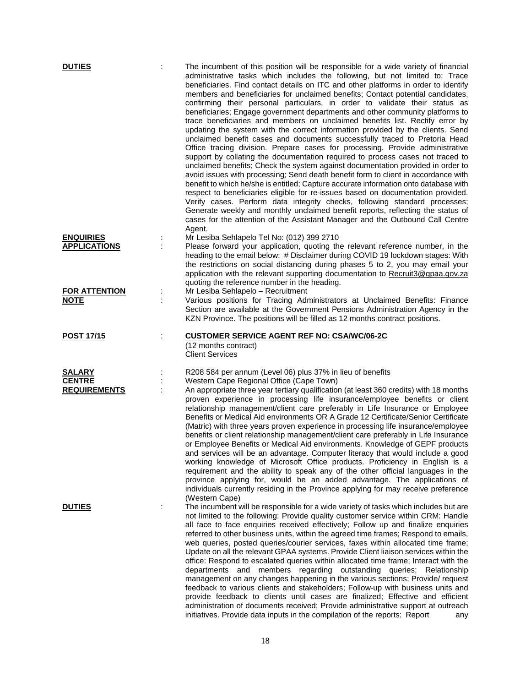| <b>DUTIES</b>        |   | The incumbent of this position will be responsible for a wide variety of financial<br>administrative tasks which includes the following, but not limited to; Trace<br>beneficiaries. Find contact details on ITC and other platforms in order to identify<br>members and beneficiaries for unclaimed benefits; Contact potential candidates,<br>confirming their personal particulars, in order to validate their status as<br>beneficiaries; Engage government departments and other community platforms to<br>trace beneficiaries and members on unclaimed benefits list. Rectify error by<br>updating the system with the correct information provided by the clients. Send<br>unclaimed benefit cases and documents successfully traced to Pretoria Head<br>Office tracing division. Prepare cases for processing. Provide administrative<br>support by collating the documentation required to process cases not traced to<br>unclaimed benefits; Check the system against documentation provided in order to<br>avoid issues with processing; Send death benefit form to client in accordance with<br>benefit to which he/she is entitled; Capture accurate information onto database with<br>respect to beneficiaries eligible for re-issues based on documentation provided.<br>Verify cases. Perform data integrity checks, following standard processes;<br>Generate weekly and monthly unclaimed benefit reports, reflecting the status of<br>cases for the attention of the Assistant Manager and the Outbound Call Centre |
|----------------------|---|----------------------------------------------------------------------------------------------------------------------------------------------------------------------------------------------------------------------------------------------------------------------------------------------------------------------------------------------------------------------------------------------------------------------------------------------------------------------------------------------------------------------------------------------------------------------------------------------------------------------------------------------------------------------------------------------------------------------------------------------------------------------------------------------------------------------------------------------------------------------------------------------------------------------------------------------------------------------------------------------------------------------------------------------------------------------------------------------------------------------------------------------------------------------------------------------------------------------------------------------------------------------------------------------------------------------------------------------------------------------------------------------------------------------------------------------------------------------------------------------------------------------------------------|
| <b>ENQUIRIES</b>     |   | Agent.<br>Mr Lesiba Sehlapelo Tel No: (012) 399 2710                                                                                                                                                                                                                                                                                                                                                                                                                                                                                                                                                                                                                                                                                                                                                                                                                                                                                                                                                                                                                                                                                                                                                                                                                                                                                                                                                                                                                                                                                   |
| <b>APPLICATIONS</b>  |   | Please forward your application, quoting the relevant reference number, in the                                                                                                                                                                                                                                                                                                                                                                                                                                                                                                                                                                                                                                                                                                                                                                                                                                                                                                                                                                                                                                                                                                                                                                                                                                                                                                                                                                                                                                                         |
|                      |   | heading to the email below: # Disclaimer during COVID 19 lockdown stages: With<br>the restrictions on social distancing during phases 5 to 2, you may email your<br>application with the relevant supporting documentation to Recruit3@gpaa.gov.za<br>quoting the reference number in the heading.                                                                                                                                                                                                                                                                                                                                                                                                                                                                                                                                                                                                                                                                                                                                                                                                                                                                                                                                                                                                                                                                                                                                                                                                                                     |
| <b>FOR ATTENTION</b> |   | Mr Lesiba Sehlapelo - Recruitment                                                                                                                                                                                                                                                                                                                                                                                                                                                                                                                                                                                                                                                                                                                                                                                                                                                                                                                                                                                                                                                                                                                                                                                                                                                                                                                                                                                                                                                                                                      |
| <b>NOTE</b>          |   | Various positions for Tracing Administrators at Unclaimed Benefits: Finance<br>Section are available at the Government Pensions Administration Agency in the<br>KZN Province. The positions will be filled as 12 months contract positions.                                                                                                                                                                                                                                                                                                                                                                                                                                                                                                                                                                                                                                                                                                                                                                                                                                                                                                                                                                                                                                                                                                                                                                                                                                                                                            |
| <b>POST 17/15</b>    |   | <b>CUSTOMER SERVICE AGENT REF NO: CSA/WC/06-2C</b>                                                                                                                                                                                                                                                                                                                                                                                                                                                                                                                                                                                                                                                                                                                                                                                                                                                                                                                                                                                                                                                                                                                                                                                                                                                                                                                                                                                                                                                                                     |
|                      |   | (12 months contract)<br><b>Client Services</b>                                                                                                                                                                                                                                                                                                                                                                                                                                                                                                                                                                                                                                                                                                                                                                                                                                                                                                                                                                                                                                                                                                                                                                                                                                                                                                                                                                                                                                                                                         |
| <b>SALARY</b>        |   | R208 584 per annum (Level 06) plus 37% in lieu of benefits                                                                                                                                                                                                                                                                                                                                                                                                                                                                                                                                                                                                                                                                                                                                                                                                                                                                                                                                                                                                                                                                                                                                                                                                                                                                                                                                                                                                                                                                             |
| <b>CENTRE</b>        |   | Western Cape Regional Office (Cape Town)                                                                                                                                                                                                                                                                                                                                                                                                                                                                                                                                                                                                                                                                                                                                                                                                                                                                                                                                                                                                                                                                                                                                                                                                                                                                                                                                                                                                                                                                                               |
| <b>REQUIREMENTS</b>  |   | An appropriate three year tertiary qualification (at least 360 credits) with 18 months<br>proven experience in processing life insurance/employee benefits or client<br>relationship management/client care preferably in Life Insurance or Employee<br>Benefits or Medical Aid environments OR A Grade 12 Certificate/Senior Certificate<br>(Matric) with three years proven experience in processing life insurance/employee<br>benefits or client relationship management/client care preferably in Life Insurance<br>or Employee Benefits or Medical Aid environments. Knowledge of GEPF products<br>and services will be an advantage. Computer literacy that would include a good<br>working knowledge of Microsoft Office products. Proficiency in English is a<br>requirement and the ability to speak any of the other official languages in the<br>province applying for, would be an added advantage. The applications of<br>individuals currently residing in the Province applying for may receive preference<br>(Western Cape)                                                                                                                                                                                                                                                                                                                                                                                                                                                                                           |
| <b>DUTIES</b>        | ÷ | The incumbent will be responsible for a wide variety of tasks which includes but are                                                                                                                                                                                                                                                                                                                                                                                                                                                                                                                                                                                                                                                                                                                                                                                                                                                                                                                                                                                                                                                                                                                                                                                                                                                                                                                                                                                                                                                   |
|                      |   | not limited to the following: Provide quality customer service within CRM: Handle                                                                                                                                                                                                                                                                                                                                                                                                                                                                                                                                                                                                                                                                                                                                                                                                                                                                                                                                                                                                                                                                                                                                                                                                                                                                                                                                                                                                                                                      |
|                      |   | all face to face enquiries received effectively; Follow up and finalize enquiries<br>referred to other business units, within the agreed time frames; Respond to emails,<br>web queries, posted queries/courier services, faxes within allocated time frame;<br>Update on all the relevant GPAA systems. Provide Client liaison services within the<br>office: Respond to escalated queries within allocated time frame; Interact with the<br>departments and members regarding outstanding queries; Relationship<br>management on any changes happening in the various sections; Provide/ request<br>feedback to various clients and stakeholders; Follow-up with business units and<br>provide feedback to clients until cases are finalized; Effective and efficient<br>administration of documents received; Provide administrative support at outreach<br>initiatives. Provide data inputs in the compilation of the reports: Report<br>any                                                                                                                                                                                                                                                                                                                                                                                                                                                                                                                                                                                       |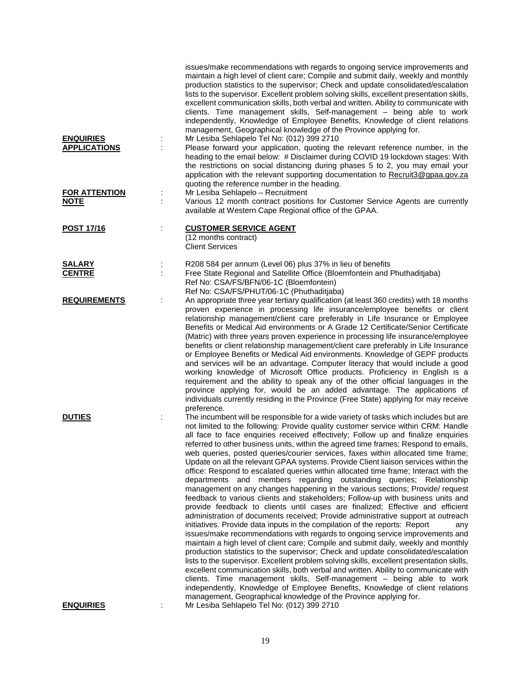|                                         | issues/make recommendations with regards to ongoing service improvements and<br>maintain a high level of client care; Compile and submit daily, weekly and monthly<br>production statistics to the supervisor; Check and update consolidated/escalation<br>lists to the supervisor. Excellent problem solving skills, excellent presentation skills,<br>excellent communication skills, both verbal and written. Ability to communicate with<br>clients. Time management skills, Self-management - being able to work<br>independently, Knowledge of Employee Benefits, Knowledge of client relations<br>management, Geographical knowledge of the Province applying for.<br>Mr Lesiba Sehlapelo Tel No: (012) 399 2710                                                                                                                                                                                                                                                                                                                                                                                                                                                                                                                                                                                                                                                                                                                                                                                                                                                                                                                                                                                                                                                                                    |
|-----------------------------------------|------------------------------------------------------------------------------------------------------------------------------------------------------------------------------------------------------------------------------------------------------------------------------------------------------------------------------------------------------------------------------------------------------------------------------------------------------------------------------------------------------------------------------------------------------------------------------------------------------------------------------------------------------------------------------------------------------------------------------------------------------------------------------------------------------------------------------------------------------------------------------------------------------------------------------------------------------------------------------------------------------------------------------------------------------------------------------------------------------------------------------------------------------------------------------------------------------------------------------------------------------------------------------------------------------------------------------------------------------------------------------------------------------------------------------------------------------------------------------------------------------------------------------------------------------------------------------------------------------------------------------------------------------------------------------------------------------------------------------------------------------------------------------------------------------------|
| <b>ENQUIRIES</b><br><b>APPLICATIONS</b> | Please forward your application, quoting the relevant reference number, in the<br>heading to the email below: # Disclaimer during COVID 19 lockdown stages: With<br>the restrictions on social distancing during phases 5 to 2, you may email your<br>application with the relevant supporting documentation to Recruit3@gpaa.gov.za<br>quoting the reference number in the heading.                                                                                                                                                                                                                                                                                                                                                                                                                                                                                                                                                                                                                                                                                                                                                                                                                                                                                                                                                                                                                                                                                                                                                                                                                                                                                                                                                                                                                       |
| <b>FOR ATTENTION</b><br><b>NOTE</b>     | Mr Lesiba Sehlapelo - Recruitment<br>÷<br>Various 12 month contract positions for Customer Service Agents are currently<br>available at Western Cape Regional office of the GPAA.                                                                                                                                                                                                                                                                                                                                                                                                                                                                                                                                                                                                                                                                                                                                                                                                                                                                                                                                                                                                                                                                                                                                                                                                                                                                                                                                                                                                                                                                                                                                                                                                                          |
| POST 17/16                              | <b>CUSTOMER SERVICE AGENT</b><br>(12 months contract)<br><b>Client Services</b>                                                                                                                                                                                                                                                                                                                                                                                                                                                                                                                                                                                                                                                                                                                                                                                                                                                                                                                                                                                                                                                                                                                                                                                                                                                                                                                                                                                                                                                                                                                                                                                                                                                                                                                            |
| <b>SALARY</b><br><b>CENTRE</b>          | R208 584 per annum (Level 06) plus 37% in lieu of benefits<br>Free State Regional and Satellite Office (Bloemfontein and Phuthaditjaba)<br>Ref No: CSA/FS/BFN/06-1C (Bloemfontein)<br>Ref No: CSA/FS/PHUT/06-1C (Phuthaditjaba)                                                                                                                                                                                                                                                                                                                                                                                                                                                                                                                                                                                                                                                                                                                                                                                                                                                                                                                                                                                                                                                                                                                                                                                                                                                                                                                                                                                                                                                                                                                                                                            |
| <b>REQUIREMENTS</b>                     | An appropriate three year tertiary qualification (at least 360 credits) with 18 months<br>proven experience in processing life insurance/employee benefits or client<br>relationship management/client care preferably in Life Insurance or Employee<br>Benefits or Medical Aid environments or A Grade 12 Certificate/Senior Certificate<br>(Matric) with three years proven experience in processing life insurance/employee<br>benefits or client relationship management/client care preferably in Life Insurance<br>or Employee Benefits or Medical Aid environments. Knowledge of GEPF products<br>and services will be an advantage. Computer literacy that would include a good<br>working knowledge of Microsoft Office products. Proficiency in English is a<br>requirement and the ability to speak any of the other official languages in the<br>province applying for, would be an added advantage. The applications of<br>individuals currently residing in the Province (Free State) applying for may receive<br>preference.                                                                                                                                                                                                                                                                                                                                                                                                                                                                                                                                                                                                                                                                                                                                                                |
| <b>DUTIES</b>                           | The incumbent will be responsible for a wide variety of tasks which includes but are<br>not limited to the following: Provide quality customer service within CRM: Handle<br>all face to face enquiries received effectively; Follow up and finalize enquiries<br>referred to other business units, within the agreed time frames; Respond to emails,<br>web queries, posted queries/courier services, faxes within allocated time frame;<br>Update on all the relevant GPAA systems. Provide Client liaison services within the<br>office: Respond to escalated queries within allocated time frame; Interact with the<br>departments and members regarding outstanding queries; Relationship<br>management on any changes happening in the various sections; Provide/ request<br>feedback to various clients and stakeholders; Follow-up with business units and<br>provide feedback to clients until cases are finalized; Effective and efficient<br>administration of documents received; Provide administrative support at outreach<br>initiatives. Provide data inputs in the compilation of the reports: Report<br>any<br>issues/make recommendations with regards to ongoing service improvements and<br>maintain a high level of client care; Compile and submit daily, weekly and monthly<br>production statistics to the supervisor; Check and update consolidated/escalation<br>lists to the supervisor. Excellent problem solving skills, excellent presentation skills,<br>excellent communication skills, both verbal and written. Ability to communicate with<br>clients. Time management skills, Self-management - being able to work<br>independently, Knowledge of Employee Benefits, Knowledge of client relations<br>management, Geographical knowledge of the Province applying for. |
| <b>ENQUIRIES</b>                        | Mr Lesiba Sehlapelo Tel No: (012) 399 2710                                                                                                                                                                                                                                                                                                                                                                                                                                                                                                                                                                                                                                                                                                                                                                                                                                                                                                                                                                                                                                                                                                                                                                                                                                                                                                                                                                                                                                                                                                                                                                                                                                                                                                                                                                 |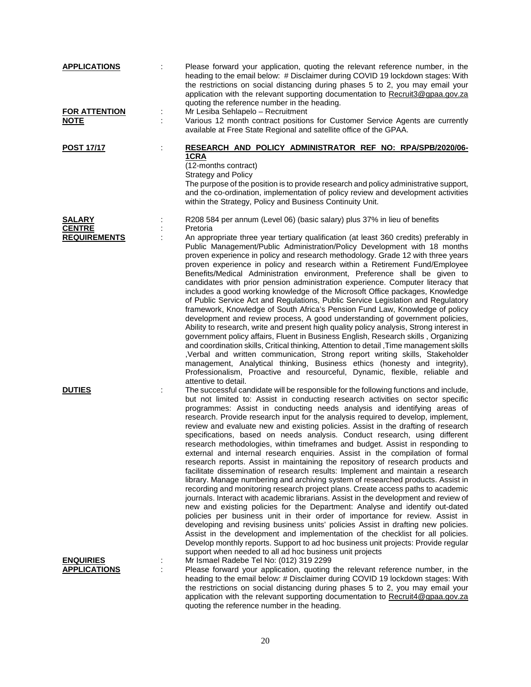| <b>APPLICATIONS</b>                     | Please forward your application, quoting the relevant reference number, in the<br>heading to the email below: # Disclaimer during COVID 19 lockdown stages: With<br>the restrictions on social distancing during phases 5 to 2, you may email your<br>application with the relevant supporting documentation to Recruit3@gpaa.gov.za<br>quoting the reference number in the heading.                                                                                                                                                                                                                                                                                                                                                                                                                                                                                                                                                                                                                                                                                                                                                                                                                                                                                                                                                                                                                                                                                                                                                                                                                            |
|-----------------------------------------|-----------------------------------------------------------------------------------------------------------------------------------------------------------------------------------------------------------------------------------------------------------------------------------------------------------------------------------------------------------------------------------------------------------------------------------------------------------------------------------------------------------------------------------------------------------------------------------------------------------------------------------------------------------------------------------------------------------------------------------------------------------------------------------------------------------------------------------------------------------------------------------------------------------------------------------------------------------------------------------------------------------------------------------------------------------------------------------------------------------------------------------------------------------------------------------------------------------------------------------------------------------------------------------------------------------------------------------------------------------------------------------------------------------------------------------------------------------------------------------------------------------------------------------------------------------------------------------------------------------------|
| <b>FOR ATTENTION</b><br><b>NOTE</b>     | Mr Lesiba Sehlapelo - Recruitment<br>Various 12 month contract positions for Customer Service Agents are currently<br>available at Free State Regional and satellite office of the GPAA.                                                                                                                                                                                                                                                                                                                                                                                                                                                                                                                                                                                                                                                                                                                                                                                                                                                                                                                                                                                                                                                                                                                                                                                                                                                                                                                                                                                                                        |
| <b>POST 17/17</b>                       | RESEARCH AND POLICY ADMINISTRATOR REF NO: RPA/SPB/2020/06-<br><u>1CRA</u><br>(12-months contract)<br><b>Strategy and Policy</b><br>The purpose of the position is to provide research and policy administrative support,<br>and the co-ordination, implementation of policy review and development activities<br>within the Strategy, Policy and Business Continuity Unit.                                                                                                                                                                                                                                                                                                                                                                                                                                                                                                                                                                                                                                                                                                                                                                                                                                                                                                                                                                                                                                                                                                                                                                                                                                      |
| <b>SALARY</b><br><b>CENTRE</b>          | R208 584 per annum (Level 06) (basic salary) plus 37% in lieu of benefits<br>Pretoria                                                                                                                                                                                                                                                                                                                                                                                                                                                                                                                                                                                                                                                                                                                                                                                                                                                                                                                                                                                                                                                                                                                                                                                                                                                                                                                                                                                                                                                                                                                           |
| <b>REQUIREMENTS</b>                     | An appropriate three year tertiary qualification (at least 360 credits) preferably in<br>Public Management/Public Administration/Policy Development with 18 months<br>proven experience in policy and research methodology. Grade 12 with three years<br>proven experience in policy and research within a Retirement Fund/Employee<br>Benefits/Medical Administration environment, Preference shall be given to<br>candidates with prior pension administration experience. Computer literacy that<br>includes a good working knowledge of the Microsoft Office packages, Knowledge<br>of Public Service Act and Regulations, Public Service Legislation and Regulatory<br>framework, Knowledge of South Africa's Pension Fund Law, Knowledge of policy<br>development and review process, A good understanding of government policies,<br>Ability to research, write and present high quality policy analysis, Strong interest in<br>government policy affairs, Fluent in Business English, Research skills, Organizing<br>and coordination skills, Critical thinking, Attention to detail, Time management skills<br>,Verbal and written communication, Strong report writing skills, Stakeholder<br>management, Analytical thinking, Business ethics (honesty and integrity),<br>Professionalism, Proactive and resourceful, Dynamic, flexible, reliable and<br>attentive to detail.                                                                                                                                                                                                                        |
| <b>DUTIES</b>                           | The successful candidate will be responsible for the following functions and include,<br>but not limited to: Assist in conducting research activities on sector specific<br>programmes: Assist in conducting needs analysis and identifying areas of<br>research. Provide research input for the analysis required to develop, implement,<br>review and evaluate new and existing policies. Assist in the drafting of research<br>specifications, based on needs analysis. Conduct research, using different<br>research methodologies, within timeframes and budget. Assist in responding to<br>external and internal research enquiries. Assist in the compilation of formal<br>research reports. Assist in maintaining the repository of research products and<br>facilitate dissemination of research results: Implement and maintain a research<br>library. Manage numbering and archiving system of researched products. Assist in<br>recording and monitoring research project plans. Create access paths to academic<br>journals. Interact with academic librarians. Assist in the development and review of<br>new and existing policies for the Department: Analyse and identify out-dated<br>policies per business unit in their order of importance for review. Assist in<br>developing and revising business units' policies Assist in drafting new policies.<br>Assist in the development and implementation of the checklist for all policies.<br>Develop monthly reports. Support to ad hoc business unit projects: Provide regular<br>support when needed to all ad hoc business unit projects |
| <b>ENQUIRIES</b><br><b>APPLICATIONS</b> | Mr Ismael Radebe Tel No: (012) 319 2299<br>Please forward your application, quoting the relevant reference number, in the<br>heading to the email below: # Disclaimer during COVID 19 lockdown stages: With<br>the restrictions on social distancing during phases 5 to 2, you may email your<br>application with the relevant supporting documentation to Recruit4@gpaa.gov.za                                                                                                                                                                                                                                                                                                                                                                                                                                                                                                                                                                                                                                                                                                                                                                                                                                                                                                                                                                                                                                                                                                                                                                                                                                 |

quoting the reference number in the heading.